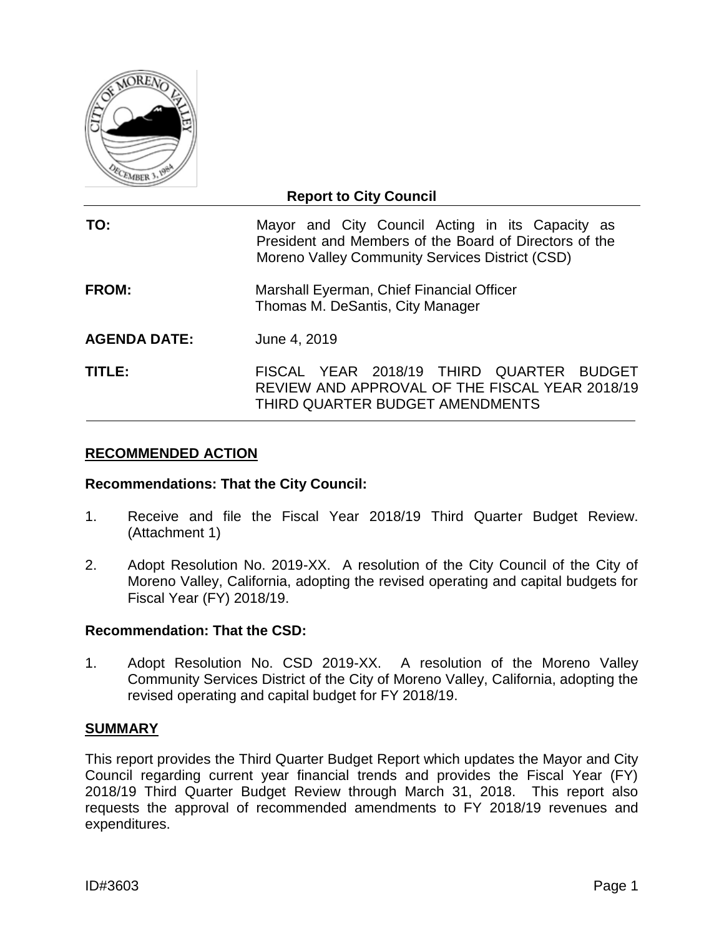

## **Report to City Council**

| TO: |  |                                                 |  | Mayor and City Council Acting in its Capacity as       |  |
|-----|--|-------------------------------------------------|--|--------------------------------------------------------|--|
|     |  |                                                 |  | President and Members of the Board of Directors of the |  |
|     |  | Moreno Valley Community Services District (CSD) |  |                                                        |  |

- **FROM:** Marshall Eyerman, Chief Financial Officer Thomas M. DeSantis, City Manager
- **AGENDA DATE:** June 4, 2019

**TITLE:** FISCAL YEAR 2018/19 THIRD QUARTER BUDGET REVIEW AND APPROVAL OF THE FISCAL YEAR 2018/19 THIRD QUARTER BUDGET AMENDMENTS

## **RECOMMENDED ACTION**

#### **Recommendations: That the City Council:**

- 1. Receive and file the Fiscal Year 2018/19 Third Quarter Budget Review. (Attachment 1)
- 2. Adopt Resolution No. 2019-XX. A resolution of the City Council of the City of Moreno Valley, California, adopting the revised operating and capital budgets for Fiscal Year (FY) 2018/19.

#### **Recommendation: That the CSD:**

1. Adopt Resolution No. CSD 2019-XX. A resolution of the Moreno Valley Community Services District of the City of Moreno Valley, California, adopting the revised operating and capital budget for FY 2018/19.

#### **SUMMARY**

This report provides the Third Quarter Budget Report which updates the Mayor and City Council regarding current year financial trends and provides the Fiscal Year (FY) 2018/19 Third Quarter Budget Review through March 31, 2018. This report also requests the approval of recommended amendments to FY 2018/19 revenues and expenditures.

ID#3603 Page 1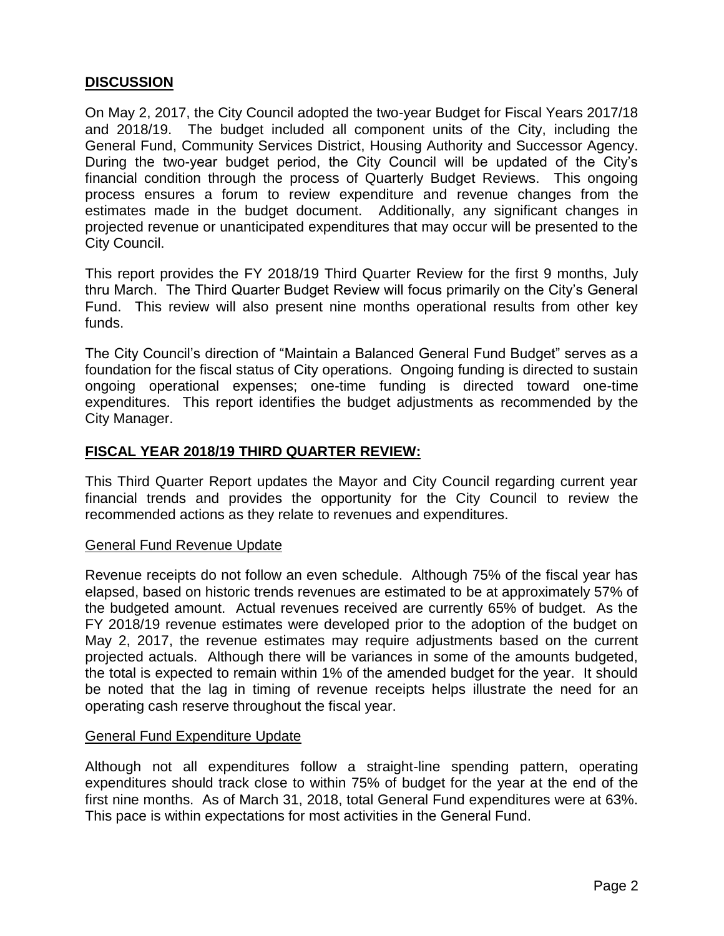# **DISCUSSION**

On May 2, 2017, the City Council adopted the two-year Budget for Fiscal Years 2017/18 and 2018/19. The budget included all component units of the City, including the General Fund, Community Services District, Housing Authority and Successor Agency. During the two-year budget period, the City Council will be updated of the City's financial condition through the process of Quarterly Budget Reviews. This ongoing process ensures a forum to review expenditure and revenue changes from the estimates made in the budget document. Additionally, any significant changes in projected revenue or unanticipated expenditures that may occur will be presented to the City Council.

This report provides the FY 2018/19 Third Quarter Review for the first 9 months, July thru March. The Third Quarter Budget Review will focus primarily on the City's General Fund. This review will also present nine months operational results from other key funds.

The City Council's direction of "Maintain a Balanced General Fund Budget" serves as a foundation for the fiscal status of City operations. Ongoing funding is directed to sustain ongoing operational expenses; one-time funding is directed toward one-time expenditures. This report identifies the budget adjustments as recommended by the City Manager.

## **FISCAL YEAR 2018/19 THIRD QUARTER REVIEW:**

This Third Quarter Report updates the Mayor and City Council regarding current year financial trends and provides the opportunity for the City Council to review the recommended actions as they relate to revenues and expenditures.

#### General Fund Revenue Update

Revenue receipts do not follow an even schedule. Although 75% of the fiscal year has elapsed, based on historic trends revenues are estimated to be at approximately 57% of the budgeted amount. Actual revenues received are currently 65% of budget. As the FY 2018/19 revenue estimates were developed prior to the adoption of the budget on May 2, 2017, the revenue estimates may require adjustments based on the current projected actuals. Although there will be variances in some of the amounts budgeted, the total is expected to remain within 1% of the amended budget for the year. It should be noted that the lag in timing of revenue receipts helps illustrate the need for an operating cash reserve throughout the fiscal year.

#### General Fund Expenditure Update

Although not all expenditures follow a straight-line spending pattern, operating expenditures should track close to within 75% of budget for the year at the end of the first nine months. As of March 31, 2018, total General Fund expenditures were at 63%. This pace is within expectations for most activities in the General Fund.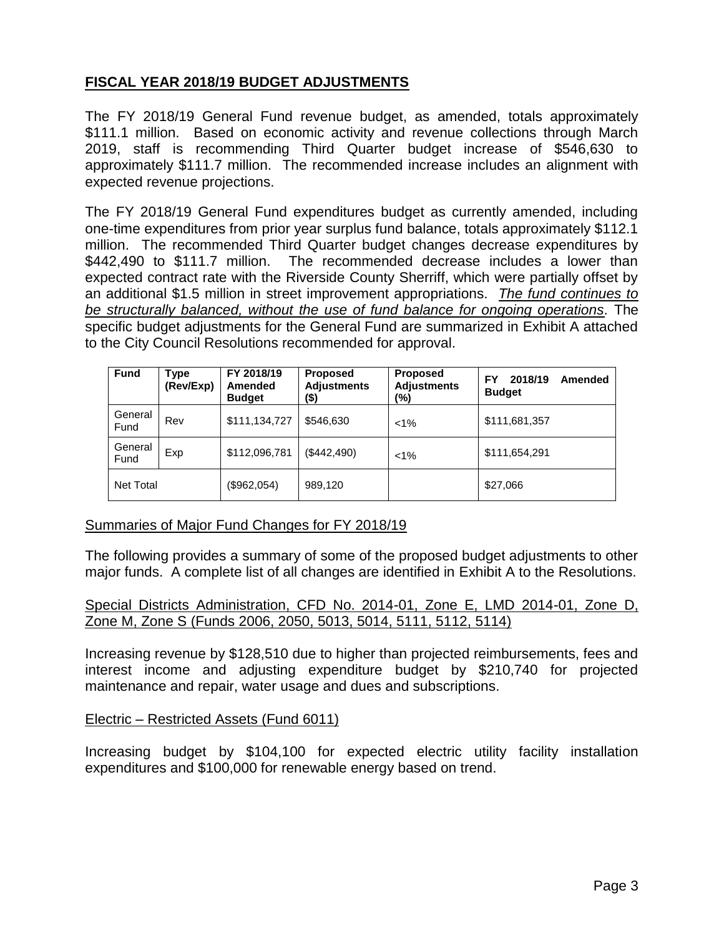# **FISCAL YEAR 2018/19 BUDGET ADJUSTMENTS**

The FY 2018/19 General Fund revenue budget, as amended, totals approximately \$111.1 million. Based on economic activity and revenue collections through March 2019, staff is recommending Third Quarter budget increase of \$546,630 to approximately \$111.7 million. The recommended increase includes an alignment with expected revenue projections.

The FY 2018/19 General Fund expenditures budget as currently amended, including one-time expenditures from prior year surplus fund balance, totals approximately \$112.1 million. The recommended Third Quarter budget changes decrease expenditures by \$442,490 to \$111.7 million. The recommended decrease includes a lower than expected contract rate with the Riverside County Sherriff, which were partially offset by an additional \$1.5 million in street improvement appropriations. *The fund continues to be structurally balanced, without the use of fund balance for ongoing operations.* The specific budget adjustments for the General Fund are summarized in Exhibit A attached to the City Council Resolutions recommended for approval.

| <b>Fund</b>      | Type<br>(Rev/Exp) | FY 2018/19<br><b>Amended</b><br><b>Budget</b> | <b>Proposed</b><br><b>Adjustments</b><br>(\$) | <b>Proposed</b><br><b>Adjustments</b><br>$\frac{10}{2}$ | 2018/19<br>FY<br>Amended<br><b>Budget</b> |
|------------------|-------------------|-----------------------------------------------|-----------------------------------------------|---------------------------------------------------------|-------------------------------------------|
| General<br>Fund  | Rev               | \$111,134,727                                 | \$546,630                                     | $< 1\%$                                                 | \$111,681,357                             |
| General<br>Fund  | Exp               | \$112,096,781                                 | (\$442,490)                                   | $< 1\%$                                                 | \$111,654,291                             |
| <b>Net Total</b> |                   | (\$962,054)                                   | 989,120                                       |                                                         | \$27,066                                  |

# Summaries of Major Fund Changes for FY 2018/19

The following provides a summary of some of the proposed budget adjustments to other major funds. A complete list of all changes are identified in Exhibit A to the Resolutions.

#### Special Districts Administration, CFD No. 2014-01, Zone E, LMD 2014-01, Zone D, Zone M, Zone S (Funds 2006, 2050, 5013, 5014, 5111, 5112, 5114)

Increasing revenue by \$128,510 due to higher than projected reimbursements, fees and interest income and adjusting expenditure budget by \$210,740 for projected maintenance and repair, water usage and dues and subscriptions.

## Electric – Restricted Assets (Fund 6011)

Increasing budget by \$104,100 for expected electric utility facility installation expenditures and \$100,000 for renewable energy based on trend.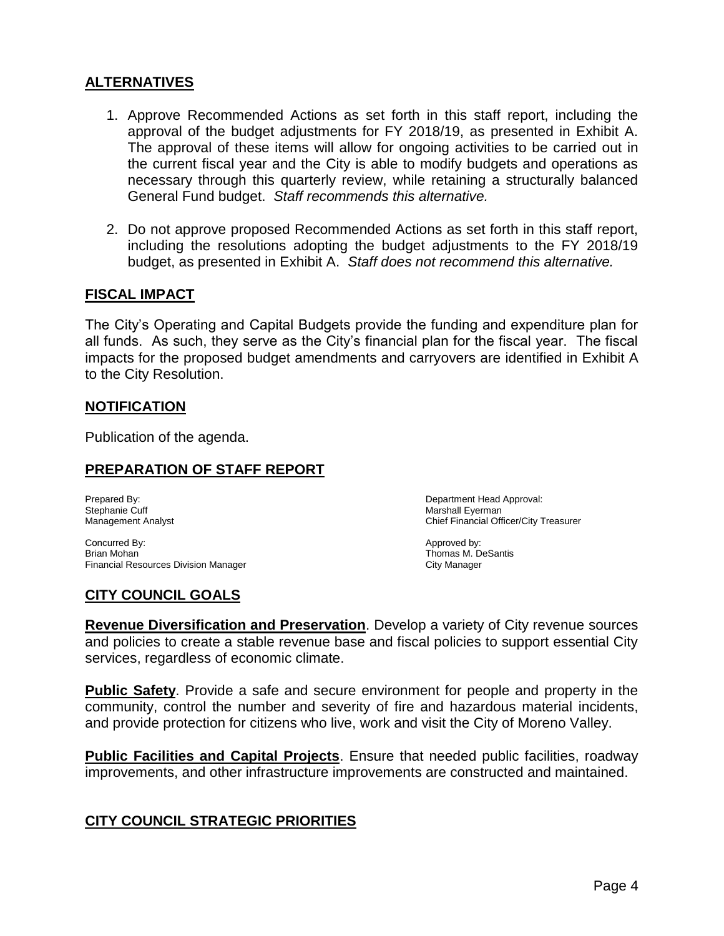# **ALTERNATIVES**

- 1. Approve Recommended Actions as set forth in this staff report, including the approval of the budget adjustments for FY 2018/19, as presented in Exhibit A. The approval of these items will allow for ongoing activities to be carried out in the current fiscal year and the City is able to modify budgets and operations as necessary through this quarterly review, while retaining a structurally balanced General Fund budget. *Staff recommends this alternative.*
- 2. Do not approve proposed Recommended Actions as set forth in this staff report, including the resolutions adopting the budget adjustments to the FY 2018/19 budget, as presented in Exhibit A. *Staff does not recommend this alternative.*

## **FISCAL IMPACT**

The City's Operating and Capital Budgets provide the funding and expenditure plan for all funds. As such, they serve as the City's financial plan for the fiscal year. The fiscal impacts for the proposed budget amendments and carryovers are identified in Exhibit A to the City Resolution.

## **NOTIFICATION**

Publication of the agenda.

## **PREPARATION OF STAFF REPORT**

Stephanie Cuff and the Current of the Current of the Marshall Eyerman<br>
Marshall Eyerman<br>
Management Analyst

Concurred By: Approved by: Brian Mohan Thomas M. DeSantis Financial Resources Division Manager City Manager City Manager

## **CITY COUNCIL GOALS**

Prepared By: Department Head Approval: Chief Financial Officer/City Treasurer

**Revenue Diversification and Preservation**. Develop a variety of City revenue sources and policies to create a stable revenue base and fiscal policies to support essential City services, regardless of economic climate.

**Public Safety**. Provide a safe and secure environment for people and property in the community, control the number and severity of fire and hazardous material incidents, and provide protection for citizens who live, work and visit the City of Moreno Valley.

**Public Facilities and Capital Projects**. Ensure that needed public facilities, roadway improvements, and other infrastructure improvements are constructed and maintained.

# **CITY COUNCIL STRATEGIC PRIORITIES**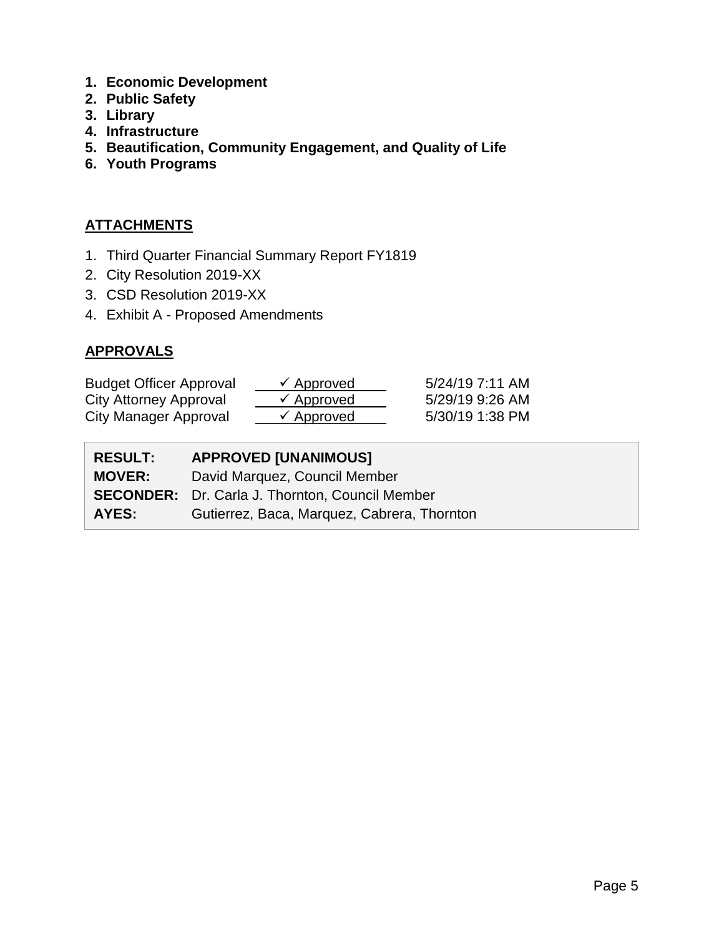- **1. Economic Development**
- **2. Public Safety**
- **3. Library**
- **4. Infrastructure**
- **5. Beautification, Community Engagement, and Quality of Life**
- **6. Youth Programs**

# **ATTACHMENTS**

- 1. Third Quarter Financial Summary Report FY1819
- 2. City Resolution 2019-XX
- 3. CSD Resolution 2019-XX
- 4. Exhibit A Proposed Amendments

# **APPROVALS**

| <b>Budget Officer Approval</b> | $\checkmark$ Approved | 5/24/19 7:11 AM |
|--------------------------------|-----------------------|-----------------|
| City Attorney Approval         | $\checkmark$ Approved | 5/29/19 9:26 AM |
| City Manager Approval          | $\checkmark$ Approved | 5/30/19 1:38 PM |

| <b>RESULT:</b> | <b>APPROVED [UNANIMOUS]</b>                            |
|----------------|--------------------------------------------------------|
| <b>MOVER:</b>  | David Marquez, Council Member                          |
|                | <b>SECONDER:</b> Dr. Carla J. Thornton, Council Member |
| <b>AYES:</b>   | Gutierrez, Baca, Marquez, Cabrera, Thornton            |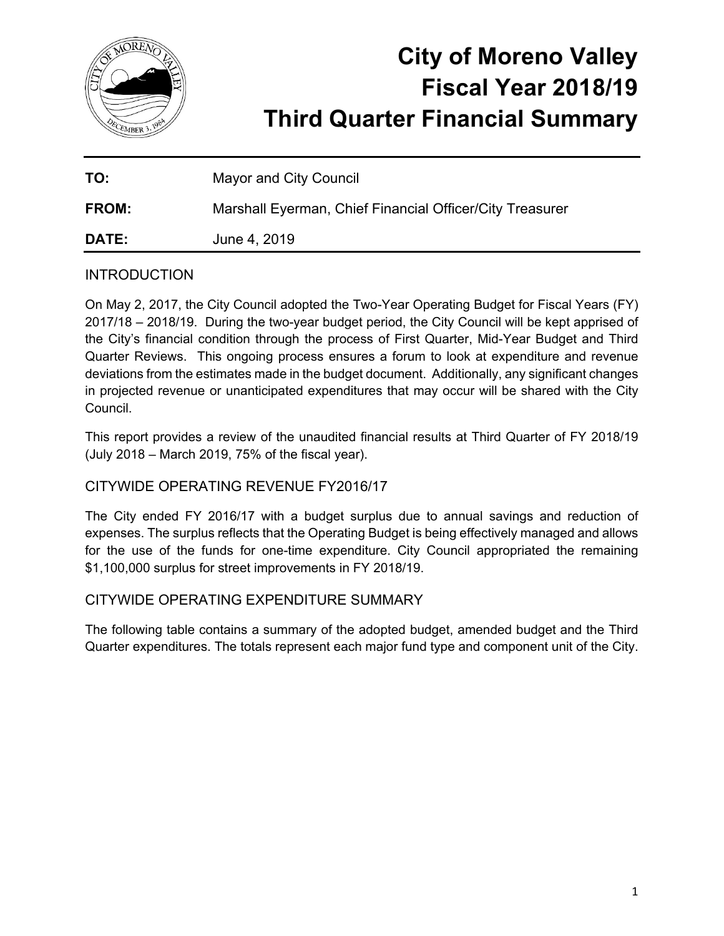

# **City of Moreno Valley Fiscal Year 2018/19 Third Quarter Financial Summary**

| TO:          | Mayor and City Council                                   |
|--------------|----------------------------------------------------------|
| <b>FROM:</b> | Marshall Eyerman, Chief Financial Officer/City Treasurer |
| <b>DATE:</b> | June 4, 2019                                             |

# **INTRODUCTION**

On May 2, 2017, the City Council adopted the Two-Year Operating Budget for Fiscal Years (FY) 2017/18 – 2018/19. During the two-year budget period, the City Council will be kept apprised of the City's financial condition through the process of First Quarter, Mid-Year Budget and Third Quarter Reviews. This ongoing process ensures a forum to look at expenditure and revenue deviations from the estimates made in the budget document. Additionally, any significant changes in projected revenue or unanticipated expenditures that may occur will be shared with the City Council.

This report provides a review of the unaudited financial results at Third Quarter of FY 2018/19 (July 2018 – March 2019, 75% of the fiscal year).

# CITYWIDE OPERATING REVENUE FY2016/17

The City ended FY 2016/17 with a budget surplus due to annual savings and reduction of expenses. The surplus reflects that the Operating Budget is being effectively managed and allows for the use of the funds for one-time expenditure. City Council appropriated the remaining \$1,100,000 surplus for street improvements in FY 2018/19.

# CITYWIDE OPERATING EXPENDITURE SUMMARY

The following table contains a summary of the adopted budget, amended budget and the Third Quarter expenditures. The totals represent each major fund type and component unit of the City.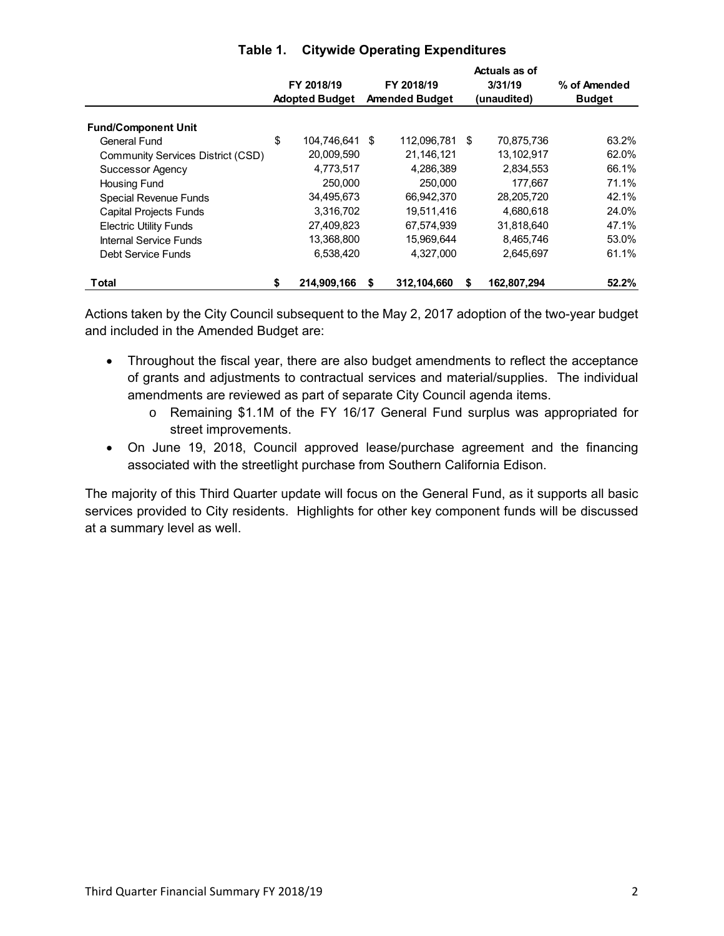|                                   |            |                       |    |                       | Actuals as of     |               |  |
|-----------------------------------|------------|-----------------------|----|-----------------------|-------------------|---------------|--|
|                                   | FY 2018/19 |                       |    | FY 2018/19            | 3/31/19           | % of Amended  |  |
|                                   |            | <b>Adopted Budget</b> |    | <b>Amended Budget</b> | (unaudited)       | <b>Budget</b> |  |
| <b>Fund/Component Unit</b>        |            |                       |    |                       |                   |               |  |
| <b>General Fund</b>               | \$         | 104,746,641           | \$ | 112,096,781           | \$<br>70,875,736  | 63.2%         |  |
| Community Services District (CSD) |            | 20,009,590            |    | 21,146,121            | 13,102,917        | 62.0%         |  |
| Successor Agency                  |            | 4,773,517             |    | 4,286,389             | 2,834,553         | 66.1%         |  |
| <b>Housing Fund</b>               |            | 250,000               |    | 250,000               | 177.667           | 71.1%         |  |
| <b>Special Revenue Funds</b>      |            | 34,495,673            |    | 66.942.370            | 28,205,720        | 42.1%         |  |
| <b>Capital Projects Funds</b>     |            | 3,316,702             |    | 19.511.416            | 4.680.618         | 24.0%         |  |
| <b>Electric Utility Funds</b>     |            | 27,409,823            |    | 67,574,939            | 31,818,640        | 47.1%         |  |
| <b>Internal Service Funds</b>     |            | 13,368,800            |    | 15,969,644            | 8,465,746         | 53.0%         |  |
| Debt Service Funds                |            | 6,538,420             |    | 4,327,000             | 2,645,697         | 61.1%         |  |
| <b>Total</b>                      | \$         | 214.909.166           | \$ | 312.104.660           | \$<br>162,807,294 | 52.2%         |  |

## **Table 1. Citywide Operating Expenditures**

Actions taken by the City Council subsequent to the May 2, 2017 adoption of the two-year budget and included in the Amended Budget are:

- Throughout the fiscal year, there are also budget amendments to reflect the acceptance of grants and adjustments to contractual services and material/supplies. The individual amendments are reviewed as part of separate City Council agenda items.
	- o Remaining \$1.1M of the FY 16/17 General Fund surplus was appropriated for street improvements.
- On June 19, 2018, Council approved lease/purchase agreement and the financing associated with the streetlight purchase from Southern California Edison.

The majority of this Third Quarter update will focus on the General Fund, as it supports all basic services provided to City residents. Highlights for other key component funds will be discussed at a summary level as well.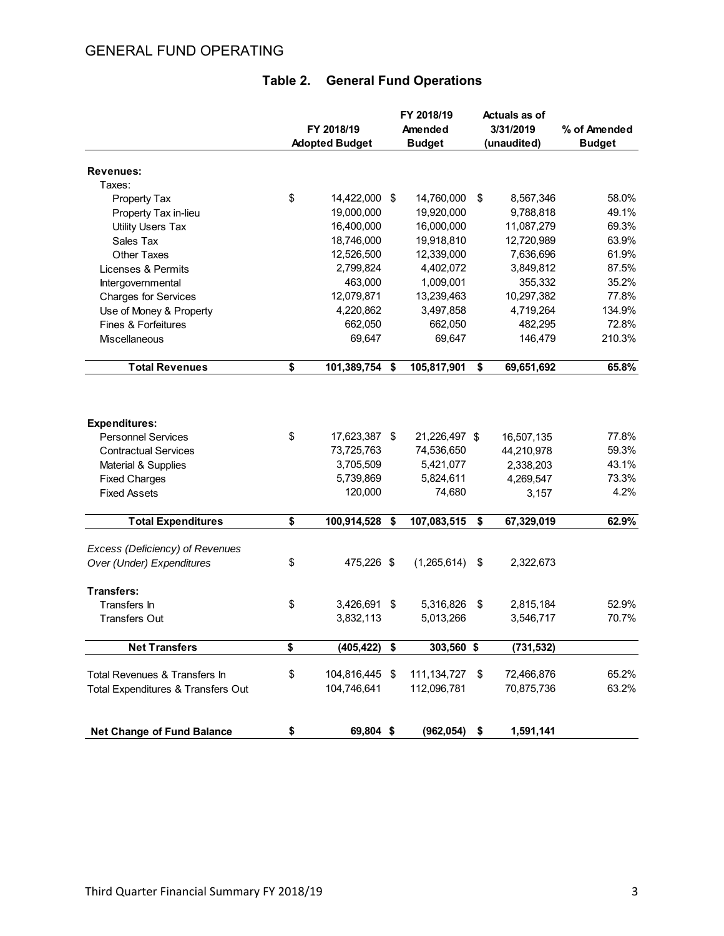# GENERAL FUND OPERATING

|                                    | FY 2018/19<br><b>Adopted Budget</b> |                | FY 2018/19<br>Amended<br><b>Budget</b> | <b>Actuals as of</b><br>3/31/2019<br>(unaudited) | % of Amended<br><b>Budget</b> |  |
|------------------------------------|-------------------------------------|----------------|----------------------------------------|--------------------------------------------------|-------------------------------|--|
|                                    |                                     |                |                                        |                                                  |                               |  |
| Revenues:                          |                                     |                |                                        |                                                  |                               |  |
| Taxes:                             |                                     |                |                                        |                                                  |                               |  |
| Property Tax                       | \$                                  | 14,422,000 \$  | 14,760,000                             | \$<br>8,567,346                                  | 58.0%                         |  |
| Property Tax in-lieu               |                                     | 19,000,000     | 19,920,000                             | 9,788,818                                        | 49.1%                         |  |
| <b>Utility Users Tax</b>           |                                     | 16,400,000     | 16,000,000                             | 11,087,279                                       | 69.3%                         |  |
| Sales Tax                          |                                     | 18,746,000     | 19,918,810                             | 12,720,989                                       | 63.9%                         |  |
| Other Taxes                        |                                     | 12,526,500     | 12,339,000                             | 7,636,696                                        | 61.9%                         |  |
| Licenses & Permits                 |                                     | 2,799,824      | 4,402,072                              | 3,849,812                                        | 87.5%                         |  |
| Intergovernmental                  |                                     | 463,000        | 1,009,001                              | 355,332                                          | 35.2%                         |  |
| <b>Charges for Services</b>        |                                     | 12,079,871     | 13,239,463                             | 10,297,382                                       | 77.8%                         |  |
| Use of Money & Property            |                                     | 4,220,862      | 3,497,858                              | 4,719,264                                        | 134.9%                        |  |
| Fines & Forfeitures                |                                     | 662,050        | 662,050                                | 482,295                                          | 72.8%                         |  |
| Miscellaneous                      |                                     | 69,647         | 69,647                                 | 146,479                                          | 210.3%                        |  |
| <b>Total Revenues</b>              | \$                                  | 101,389,754    | \$<br>105,817,901                      | \$<br>69,651,692                                 | 65.8%                         |  |
|                                    |                                     |                |                                        |                                                  |                               |  |
| <b>Expenditures:</b>               |                                     |                |                                        |                                                  |                               |  |
| <b>Personnel Services</b>          | \$                                  | 17,623,387 \$  | 21,226,497 \$                          | 16,507,135                                       | 77.8%                         |  |
| <b>Contractual Services</b>        |                                     | 73,725,763     | 74,536,650                             | 44,210,978                                       | 59.3%                         |  |
| Material & Supplies                |                                     | 3,705,509      | 5,421,077                              | 2,338,203                                        | 43.1%                         |  |
| <b>Fixed Charges</b>               |                                     | 5,739,869      | 5,824,611                              | 4,269,547                                        | 73.3%                         |  |
| <b>Fixed Assets</b>                |                                     | 120,000        | 74,680                                 | 3,157                                            | 4.2%                          |  |
| <b>Total Expenditures</b>          | \$                                  | 100,914,528 \$ | 107,083,515                            | \$<br>67,329,019                                 | 62.9%                         |  |
| Excess (Deficiency) of Revenues    |                                     |                |                                        |                                                  |                               |  |
| Over (Under) Expenditures          | \$                                  | 475,226 \$     | (1,265,614)                            | \$<br>2,322,673                                  |                               |  |
| Transfers:                         |                                     |                |                                        |                                                  |                               |  |
| Transfers In                       | \$                                  | 3,426,691 \$   | 5,316,826                              | \$<br>2,815,184                                  | 52.9%                         |  |
| <b>Transfers Out</b>               |                                     | 3,832,113      | 5,013,266                              | 3,546,717                                        | 70.7%                         |  |
| <b>Net Transfers</b>               | \$                                  | (405, 422)     | \$<br>303,560 \$                       | (731, 532)                                       |                               |  |
| Total Revenues & Transfers In      | \$                                  | 104,816,445 \$ | 111, 134, 727                          | \$<br>72,466,876                                 | 65.2%                         |  |
| Total Expenditures & Transfers Out |                                     | 104,746,641    | 112,096,781                            | 70,875,736                                       | 63.2%                         |  |
| <b>Net Change of Fund Balance</b>  | \$                                  | 69,804 \$      | (962, 054)                             | \$<br>1,591,141                                  |                               |  |

# **Table 2. General Fund Operations**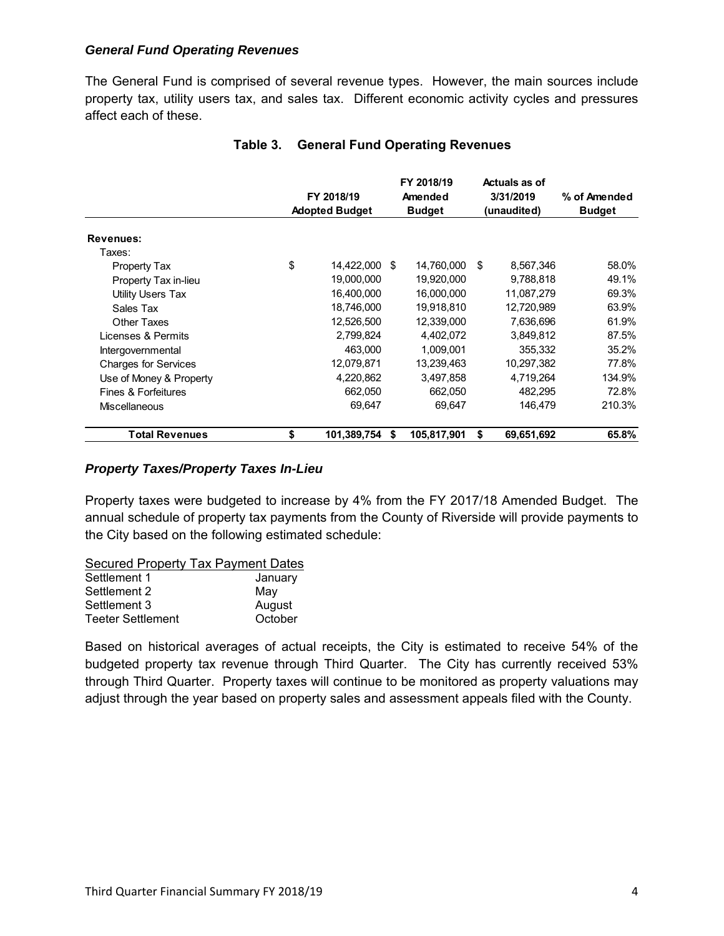#### *General Fund Operating Revenues*

The General Fund is comprised of several revenue types. However, the main sources include property tax, utility users tax, and sales tax. Different economic activity cycles and pressures affect each of these.

|                             | FY 2018/19<br><b>Adopted Budget</b> |             |      | FY 2018/19<br>Amended<br><b>Budget</b> |    | Actuals as of<br>3/31/2019<br>(unaudited) | % of Amended<br><b>Budget</b> |
|-----------------------------|-------------------------------------|-------------|------|----------------------------------------|----|-------------------------------------------|-------------------------------|
| Revenues:                   |                                     |             |      |                                        |    |                                           |                               |
| Taxes:                      |                                     |             |      |                                        |    |                                           |                               |
| Property Tax                | \$                                  | 14,422,000  | - \$ | 14,760,000                             | \$ | 8,567,346                                 | 58.0%                         |
| Property Tax in-lieu        |                                     | 19,000,000  |      | 19,920,000                             |    | 9,788,818                                 | 49.1%                         |
| Utility Users Tax           |                                     | 16,400,000  |      | 16,000,000                             |    | 11,087,279                                | 69.3%                         |
| Sales Tax                   |                                     | 18,746,000  |      | 19,918,810                             |    | 12,720,989                                | 63.9%                         |
| Other Taxes                 |                                     | 12,526,500  |      | 12,339,000                             |    | 7,636,696                                 | 61.9%                         |
| Licenses & Permits          |                                     | 2,799,824   |      | 4,402,072                              |    | 3,849,812                                 | 87.5%                         |
| Intergovernmental           |                                     | 463,000     |      | 1,009,001                              |    | 355,332                                   | 35.2%                         |
| <b>Charges for Services</b> |                                     | 12,079,871  |      | 13,239,463                             |    | 10,297,382                                | 77.8%                         |
| Use of Money & Property     |                                     | 4,220,862   |      | 3,497,858                              |    | 4,719,264                                 | 134.9%                        |
| Fines & Forfeitures         |                                     | 662,050     |      | 662.050                                |    | 482.295                                   | 72.8%                         |
| <b>Miscellaneous</b>        |                                     | 69.647      |      | 69.647                                 |    | 146.479                                   | 210.3%                        |
| <b>Total Revenues</b>       | \$                                  | 101,389,754 | S    | 105,817,901                            | S  | 69,651,692                                | 65.8%                         |

#### **Table 3. General Fund Operating Revenues**

#### *Property Taxes/Property Taxes In-Lieu*

Property taxes were budgeted to increase by 4% from the FY 2017/18 Amended Budget. The annual schedule of property tax payments from the County of Riverside will provide payments to the City based on the following estimated schedule:

Secured Property Tax Payment Dates

| Settlement 1             | January |
|--------------------------|---------|
| Settlement 2             | May     |
| Settlement 3             | August  |
| <b>Teeter Settlement</b> | October |

Based on historical averages of actual receipts, the City is estimated to receive 54% of the budgeted property tax revenue through Third Quarter. The City has currently received 53% through Third Quarter. Property taxes will continue to be monitored as property valuations may adjust through the year based on property sales and assessment appeals filed with the County.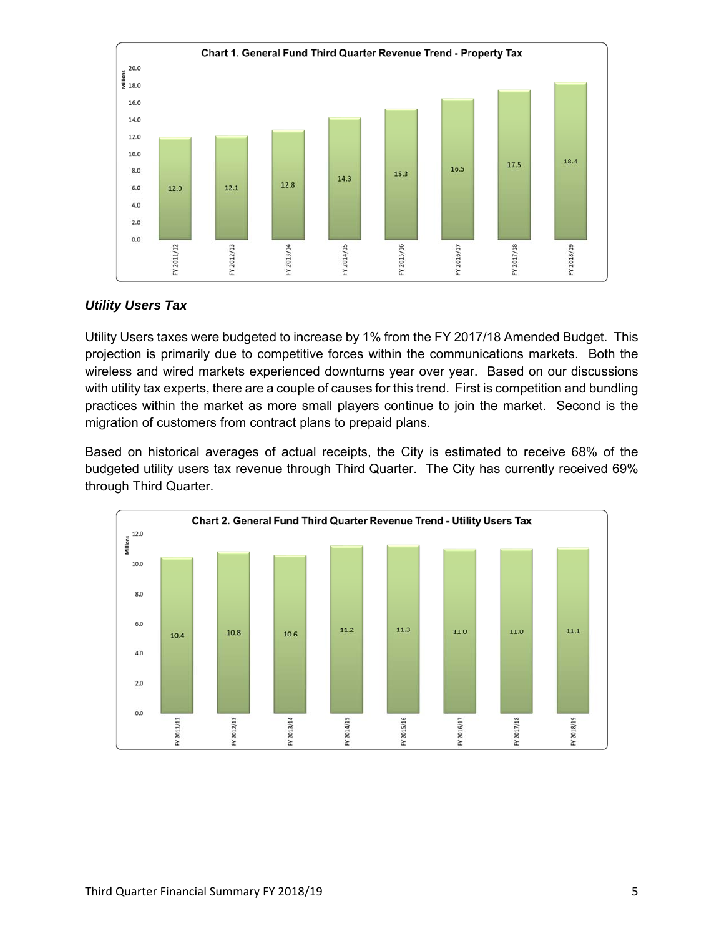

#### *Utility Users Tax*

Utility Users taxes were budgeted to increase by 1% from the FY 2017/18 Amended Budget. This projection is primarily due to competitive forces within the communications markets. Both the wireless and wired markets experienced downturns year over year. Based on our discussions with utility tax experts, there are a couple of causes for this trend. First is competition and bundling practices within the market as more small players continue to join the market. Second is the migration of customers from contract plans to prepaid plans.

Based on historical averages of actual receipts, the City is estimated to receive 68% of the budgeted utility users tax revenue through Third Quarter. The City has currently received 69% through Third Quarter.

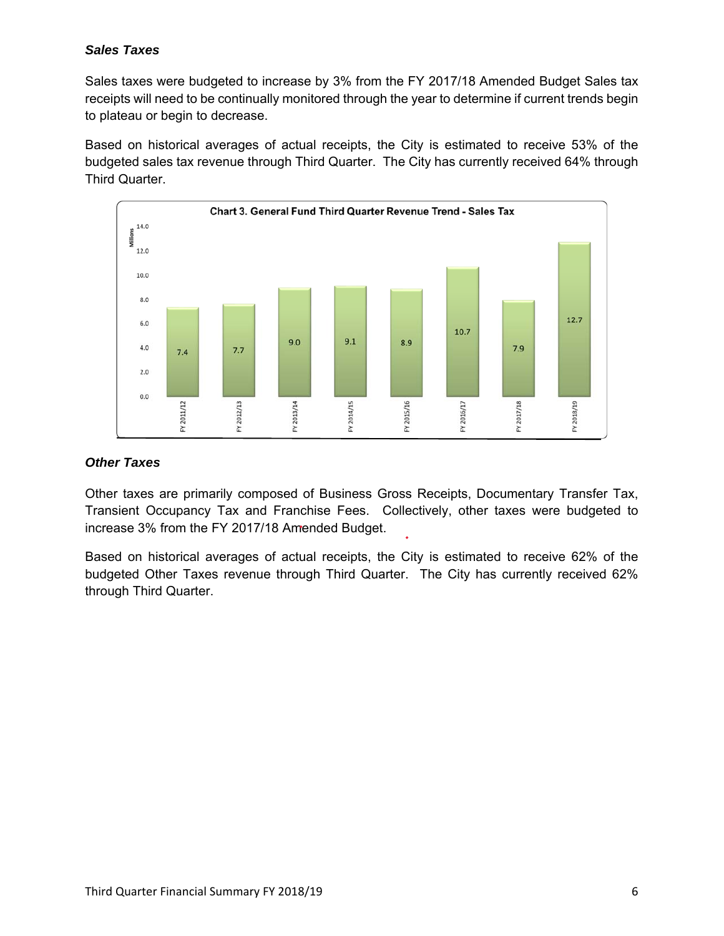#### *Sales Taxes*

Sales taxes were budgeted to increase by 3% from the FY 2017/18 Amended Budget Sales tax receipts will need to be continually monitored through the year to determine if current trends begin to plateau or begin to decrease.

Based on historical averages of actual receipts, the City is estimated to receive 53% of the budgeted sales tax revenue through Third Quarter. The City has currently received 64% through Third Quarter.



#### *Other Taxes*

Other taxes are primarily composed of Business Gross Receipts, Documentary Transfer Tax, Transient Occupancy Tax and Franchise Fees. Collectively, other taxes were budgeted to increase 3% from the FY 2017/18 Amended Budget.

Based on historical averages of actual receipts, the City is estimated to receive 62% of the budgeted Other Taxes revenue through Third Quarter. The City has currently received 62% through Third Quarter.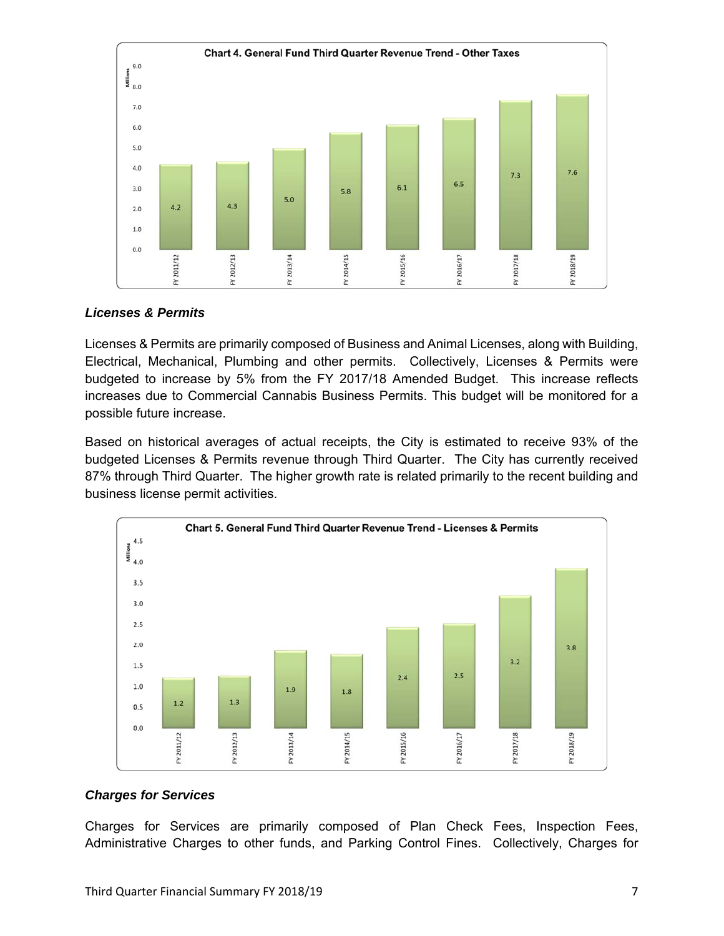

#### *Licenses & Permits*

Licenses & Permits are primarily composed of Business and Animal Licenses, along with Building, Electrical, Mechanical, Plumbing and other permits. Collectively, Licenses & Permits were budgeted to increase by 5% from the FY 2017/18 Amended Budget. This increase reflects increases due to Commercial Cannabis Business Permits. This budget will be monitored for a possible future increase.

Based on historical averages of actual receipts, the City is estimated to receive 93% of the budgeted Licenses & Permits revenue through Third Quarter. The City has currently received 87% through Third Quarter. The higher growth rate is related primarily to the recent building and business license permit activities.



#### *Charges for Services*

Charges for Services are primarily composed of Plan Check Fees, Inspection Fees, Administrative Charges to other funds, and Parking Control Fines. Collectively, Charges for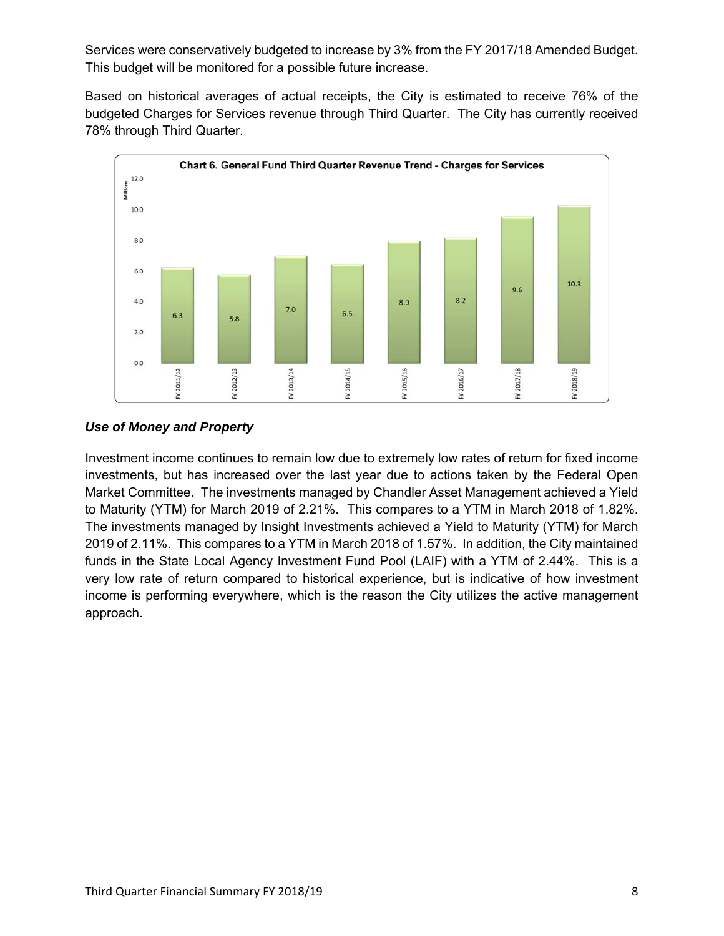Services were conservatively budgeted to increase by 3% from the FY 2017/18 Amended Budget. This budget will be monitored for a possible future increase.

Based on historical averages of actual receipts, the City is estimated to receive 76% of the budgeted Charges for Services revenue through Third Quarter. The City has currently received 78% through Third Quarter.



*Use of Money and Property* 

Investment income continues to remain low due to extremely low rates of return for fixed income investments, but has increased over the last year due to actions taken by the Federal Open Market Committee. The investments managed by Chandler Asset Management achieved a Yield to Maturity (YTM) for March 2019 of 2.21%. This compares to a YTM in March 2018 of 1.82%. The investments managed by Insight Investments achieved a Yield to Maturity (YTM) for March 2019 of 2.11%. This compares to a YTM in March 2018 of 1.57%. In addition, the City maintained funds in the State Local Agency Investment Fund Pool (LAIF) with a YTM of 2.44%. This is a very low rate of return compared to historical experience, but is indicative of how investment income is performing everywhere, which is the reason the City utilizes the active management approach.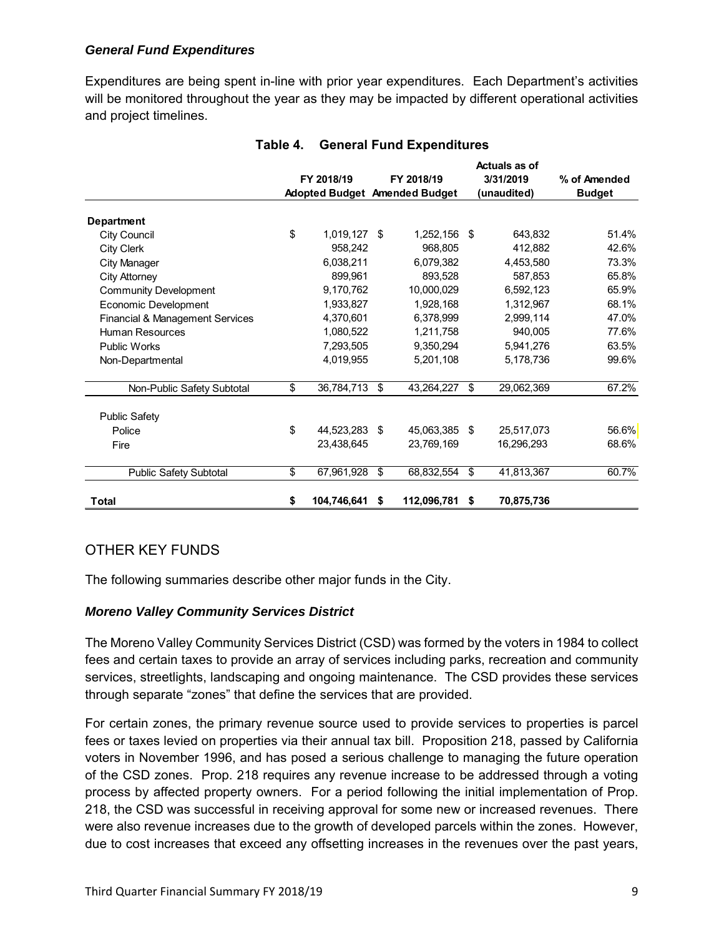#### *General Fund Expenditures*

Expenditures are being spent in-line with prior year expenditures. Each Department's activities will be monitored throughout the year as they may be impacted by different operational activities and project timelines.

|                                            | FY 2018/19 |             |    | FY 2018/19                    |     | Actuals as of<br>3/31/2019 | % of Amended  |  |
|--------------------------------------------|------------|-------------|----|-------------------------------|-----|----------------------------|---------------|--|
|                                            |            |             |    | Adopted Budget Amended Budget |     | (unaudited)                | <b>Budget</b> |  |
| Department                                 |            |             |    |                               |     |                            |               |  |
| City Council                               | \$         | 1,019,127   | \$ | 1,252,156                     | -\$ | 643,832                    | 51.4%         |  |
| <b>City Clerk</b>                          |            | 958,242     |    | 968,805                       |     | 412,882                    | 42.6%         |  |
| <b>City Manager</b>                        |            | 6,038,211   |    | 6,079,382                     |     | 4,453,580                  | 73.3%         |  |
| <b>City Attorney</b>                       |            | 899,961     |    | 893,528                       |     | 587,853                    | 65.8%         |  |
| <b>Community Development</b>               |            | 9,170,762   |    | 10,000,029                    |     | 6,592,123                  | 65.9%         |  |
| Economic Development                       |            | 1,933,827   |    | 1,928,168                     |     | 1,312,967                  | 68.1%         |  |
| <b>Financial &amp; Management Services</b> |            | 4.370.601   |    | 6,378,999                     |     | 2,999,114                  | 47.0%         |  |
| <b>Human Resources</b>                     |            | 1,080,522   |    | 1,211,758                     |     | 940,005                    | 77.6%         |  |
| <b>Public Works</b>                        |            | 7.293.505   |    | 9,350,294                     |     | 5,941,276                  | 63.5%         |  |
| Non-Departmental                           |            | 4,019,955   |    | 5,201,108                     |     | 5,178,736                  | 99.6%         |  |
| Non-Public Safety Subtotal                 | \$         | 36,784,713  | \$ | 43,264,227                    | \$  | 29,062,369                 | 67.2%         |  |
| <b>Public Safety</b>                       |            |             |    |                               |     |                            |               |  |
| Police                                     | \$         | 44,523,283  | \$ | 45,063,385                    | \$  | 25,517,073                 | 56.6%         |  |
| Fire                                       |            | 23,438,645  |    | 23,769,169                    |     | 16,296,293                 | 68.6%         |  |
| <b>Public Safety Subtotal</b>              | \$         | 67,961,928  | \$ | 68,832,554                    | \$  | 41,813,367                 | 60.7%         |  |
| Total                                      | \$         | 104,746,641 | \$ | 112,096,781                   | \$  | 70,875,736                 |               |  |

#### **Table 4. General Fund Expenditures**

# OTHER KEY FUNDS

The following summaries describe other major funds in the City.

#### *Moreno Valley Community Services District*

The Moreno Valley Community Services District (CSD) was formed by the voters in 1984 to collect fees and certain taxes to provide an array of services including parks, recreation and community services, streetlights, landscaping and ongoing maintenance. The CSD provides these services through separate "zones" that define the services that are provided.

For certain zones, the primary revenue source used to provide services to properties is parcel fees or taxes levied on properties via their annual tax bill. Proposition 218, passed by California voters in November 1996, and has posed a serious challenge to managing the future operation of the CSD zones. Prop. 218 requires any revenue increase to be addressed through a voting process by affected property owners. For a period following the initial implementation of Prop. 218, the CSD was successful in receiving approval for some new or increased revenues. There were also revenue increases due to the growth of developed parcels within the zones. However, due to cost increases that exceed any offsetting increases in the revenues over the past years,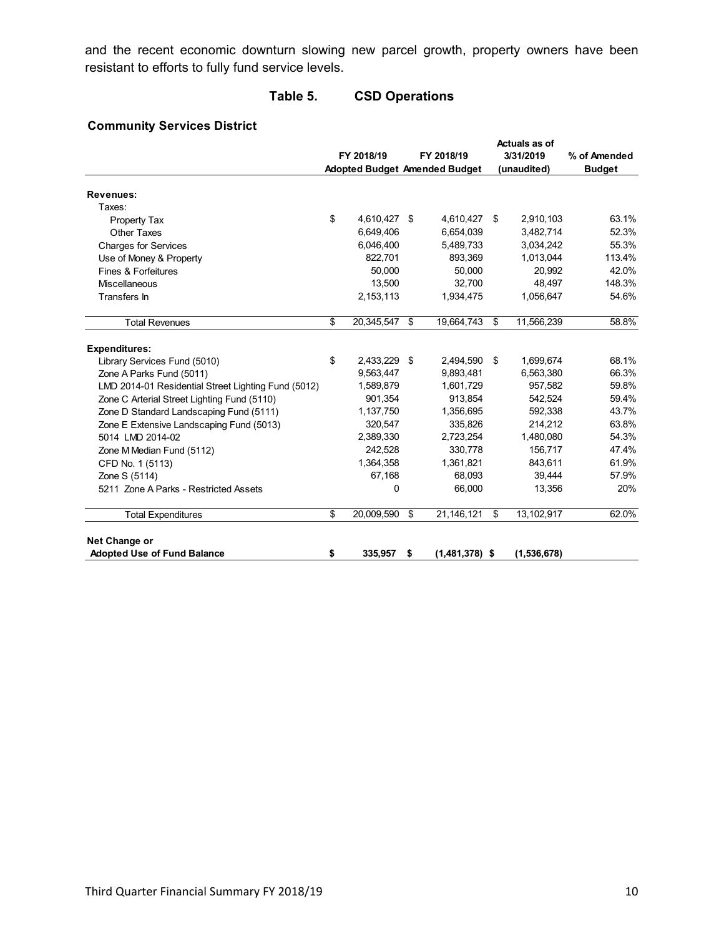and the recent economic downturn slowing new parcel growth, property owners have been resistant to efforts to fully fund service levels.

# **Table 5. CSD Operations**

#### **Community Services District**

|                                                     |                    |                                      | Actuals as of |             |               |  |
|-----------------------------------------------------|--------------------|--------------------------------------|---------------|-------------|---------------|--|
|                                                     | FY 2018/19         | FY 2018/19                           |               | 3/31/2019   | % of Amended  |  |
|                                                     |                    | <b>Adopted Budget Amended Budget</b> |               | (unaudited) | <b>Budget</b> |  |
| <b>Revenues:</b>                                    |                    |                                      |               |             |               |  |
| Taxes:                                              |                    |                                      |               |             |               |  |
| Property Tax                                        | \$<br>4,610,427 \$ | 4,610,427                            | \$            | 2,910,103   | 63.1%         |  |
| <b>Other Taxes</b>                                  | 6,649,406          | 6,654,039                            |               | 3,482,714   | 52.3%         |  |
| <b>Charges for Services</b>                         | 6,046,400          | 5,489,733                            |               | 3,034,242   | 55.3%         |  |
| Use of Money & Property                             | 822,701            | 893,369                              |               | 1,013,044   | 113.4%        |  |
| Fines & Forfeitures                                 | 50,000             | 50,000                               |               | 20,992      | 42.0%         |  |
| <b>Miscellaneous</b>                                | 13.500             | 32,700                               |               | 48,497      | 148.3%        |  |
| Transfers In                                        | 2,153,113          | 1,934,475                            |               | 1,056,647   | 54.6%         |  |
| <b>Total Revenues</b>                               | \$<br>20,345,547   | \$<br>19,664,743                     | \$            | 11,566,239  | 58.8%         |  |
| <b>Expenditures:</b>                                |                    |                                      |               |             |               |  |
| Library Services Fund (5010)                        | \$<br>2,433,229    | \$<br>2,494,590                      | \$            | 1,699,674   | 68.1%         |  |
| Zone A Parks Fund (5011)                            | 9.563.447          | 9.893.481                            |               | 6.563.380   | 66.3%         |  |
| LMD 2014-01 Residential Street Lighting Fund (5012) | 1,589,879          | 1,601,729                            |               | 957,582     | 59.8%         |  |
| Zone C Arterial Street Lighting Fund (5110)         | 901,354            | 913,854                              |               | 542,524     | 59.4%         |  |
| Zone D Standard Landscaping Fund (5111)             | 1,137,750          | 1,356,695                            |               | 592.338     | 43.7%         |  |
| Zone E Extensive Landscaping Fund (5013)            | 320,547            | 335,826                              |               | 214,212     | 63.8%         |  |
| 5014 LMD 2014-02                                    | 2,389,330          | 2,723,254                            |               | 1,480,080   | 54.3%         |  |
| Zone M Median Fund (5112)                           | 242,528            | 330,778                              |               | 156,717     | 47.4%         |  |
| CFD No. 1 (5113)                                    | 1,364,358          | 1,361,821                            |               | 843,611     | 61.9%         |  |
| Zone S (5114)                                       | 67,168             | 68,093                               |               | 39,444      | 57.9%         |  |
| 5211 Zone A Parks - Restricted Assets               | 0                  | 66,000                               |               | 13,356      | 20%           |  |
| <b>Total Expenditures</b>                           | \$<br>20,009,590   | \$<br>21,146,121                     | \$            | 13,102,917  | 62.0%         |  |
| Net Change or                                       |                    |                                      |               |             |               |  |
| <b>Adopted Use of Fund Balance</b>                  | \$<br>335,957      | \$<br>$(1,481,378)$ \$               |               | (1,536,678) |               |  |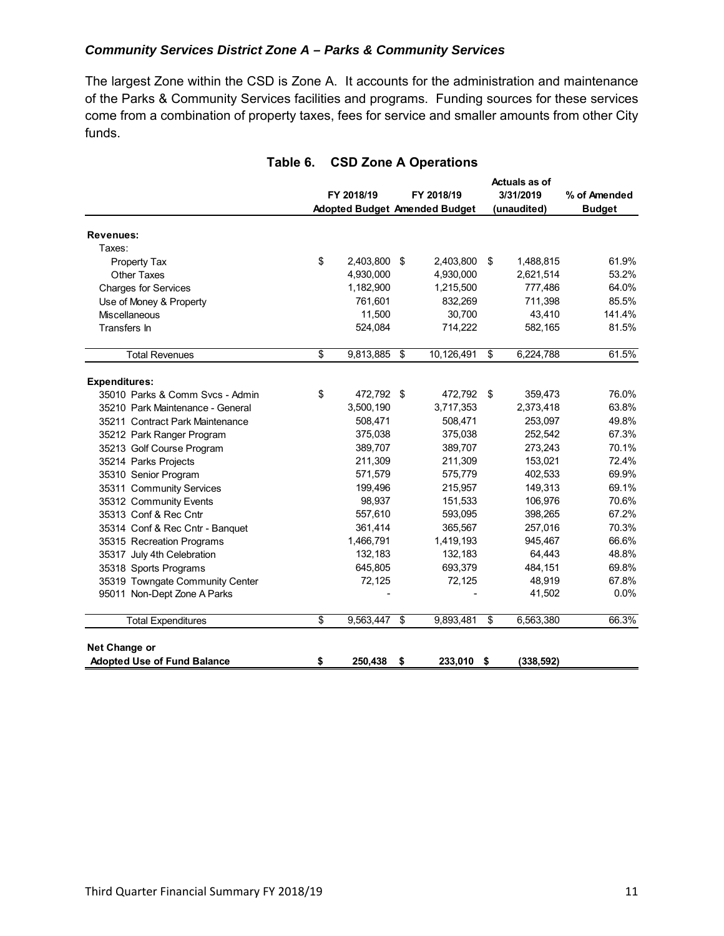#### *Community Services District Zone A – Parks & Community Services*

The largest Zone within the CSD is Zone A. It accounts for the administration and maintenance of the Parks & Community Services facilities and programs. Funding sources for these services come from a combination of property taxes, fees for service and smaller amounts from other City funds.

|                                    |                  |                                      |      | Actuals as of |               |
|------------------------------------|------------------|--------------------------------------|------|---------------|---------------|
|                                    | FY 2018/19       | FY 2018/19                           |      | 3/31/2019     | % of Amended  |
|                                    |                  | <b>Adopted Budget Amended Budget</b> |      | (unaudited)   | <b>Budget</b> |
| <b>Revenues:</b>                   |                  |                                      |      |               |               |
| Taxes:                             |                  |                                      |      |               |               |
| <b>Property Tax</b>                | \$<br>2,403,800  | \$<br>2,403,800                      | \$   | 1,488,815     | 61.9%         |
| <b>Other Taxes</b>                 | 4,930,000        | 4,930,000                            |      | 2,621,514     | 53.2%         |
| <b>Charges for Services</b>        | 1,182,900        | 1,215,500                            |      | 777,486       | 64.0%         |
| Use of Money & Property            | 761,601          | 832,269                              |      | 711,398       | 85.5%         |
| <b>Miscellaneous</b>               | 11,500           | 30,700                               |      | 43,410        | 141.4%        |
| Transfers In                       | 524,084          | 714,222                              |      | 582,165       | 81.5%         |
|                                    | \$<br>9,813,885  | \$<br>10,126,491                     | \$   | 6,224,788     | 61.5%         |
| <b>Total Revenues</b>              |                  |                                      |      |               |               |
| <b>Expenditures:</b>               |                  |                                      |      |               |               |
| 35010 Parks & Comm Svcs - Admin    | \$<br>472,792 \$ | 472,792                              | - \$ | 359,473       | 76.0%         |
| 35210 Park Maintenance - General   | 3,500,190        | 3,717,353                            |      | 2,373,418     | 63.8%         |
| 35211 Contract Park Maintenance    | 508,471          | 508,471                              |      | 253,097       | 49.8%         |
| 35212 Park Ranger Program          | 375,038          | 375,038                              |      | 252,542       | 67.3%         |
| 35213 Golf Course Program          | 389,707          | 389,707                              |      | 273,243       | 70.1%         |
| 35214 Parks Projects               | 211,309          | 211,309                              |      | 153,021       | 72.4%         |
| 35310 Senior Program               | 571,579          | 575,779                              |      | 402,533       | 69.9%         |
| 35311 Community Services           | 199,496          | 215,957                              |      | 149,313       | 69.1%         |
| 35312 Community Events             | 98,937           | 151,533                              |      | 106,976       | 70.6%         |
| 35313 Conf & Rec Cntr              | 557,610          | 593,095                              |      | 398,265       | 67.2%         |
| 35314 Conf & Rec Cntr - Banquet    | 361,414          | 365,567                              |      | 257,016       | 70.3%         |
| 35315 Recreation Programs          | 1,466,791        | 1,419,193                            |      | 945,467       | 66.6%         |
| 35317 July 4th Celebration         | 132,183          | 132,183                              |      | 64,443        | 48.8%         |
| 35318 Sports Programs              | 645,805          | 693,379                              |      | 484,151       | 69.8%         |
| 35319 Towngate Community Center    | 72,125           | 72,125                               |      | 48,919        | 67.8%         |
| 95011 Non-Dept Zone A Parks        |                  |                                      |      | 41,502        | 0.0%          |
| <b>Total Expenditures</b>          | \$<br>9,563,447  | \$<br>9,893,481                      | \$   | 6,563,380     | 66.3%         |
|                                    |                  |                                      |      |               |               |
| Net Change or                      |                  |                                      |      |               |               |
| <b>Adopted Use of Fund Balance</b> | \$<br>250,438    | \$<br>233,010 \$                     |      | (338, 592)    |               |

#### **Table 6. CSD Zone A Operations**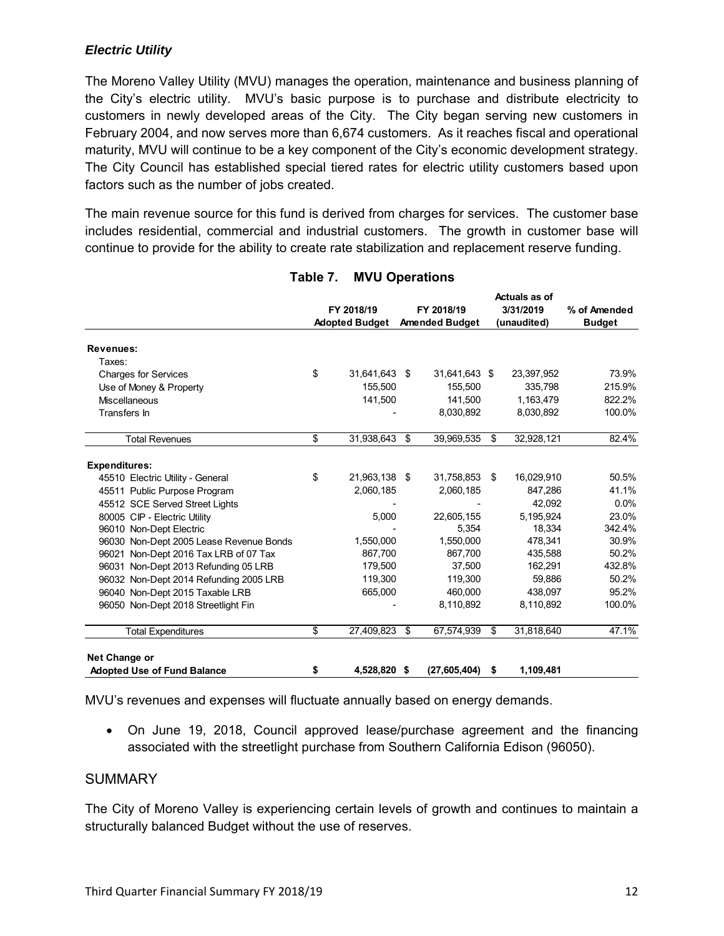#### *Electric Utility*

The Moreno Valley Utility (MVU) manages the operation, maintenance and business planning of the City's electric utility. MVU's basic purpose is to purchase and distribute electricity to customers in newly developed areas of the City. The City began serving new customers in February 2004, and now serves more than 6,674 customers. As it reaches fiscal and operational maturity, MVU will continue to be a key component of the City's economic development strategy. The City Council has established special tiered rates for electric utility customers based upon factors such as the number of jobs created.

The main revenue source for this fund is derived from charges for services. The customer base includes residential, commercial and industrial customers. The growth in customer base will continue to provide for the ability to create rate stabilization and replacement reserve funding.

|                                         |                       |                       | Actuals as of    |               |
|-----------------------------------------|-----------------------|-----------------------|------------------|---------------|
|                                         | FY 2018/19            | FY 2018/19            | 3/31/2019        | % of Amended  |
|                                         | <b>Adopted Budget</b> | <b>Amended Budget</b> | (unaudited)      | <b>Budget</b> |
| <b>Revenues:</b>                        |                       |                       |                  |               |
| Taxes:                                  |                       |                       |                  |               |
| <b>Charges for Services</b>             | \$<br>31.641.643 \$   | 31,641,643 \$         | 23,397,952       | 73.9%         |
| Use of Money & Property                 | 155,500               | 155,500               | 335,798          | 215.9%        |
| <b>Miscellaneous</b>                    | 141,500               | 141.500               | 1.163.479        | 822.2%        |
| Transfers In                            |                       | 8,030,892             | 8,030,892        | 100.0%        |
| <b>Total Revenues</b>                   | \$<br>31,938,643      | \$<br>39,969,535      | \$<br>32,928,121 | 82.4%         |
|                                         |                       |                       |                  |               |
| <b>Expenditures:</b>                    |                       |                       |                  |               |
| 45510 Electric Utility - General        | \$<br>21,963,138 \$   | 31,758,853            | \$<br>16,029,910 | 50.5%         |
| 45511 Public Purpose Program            | 2,060,185             | 2,060,185             | 847,286          | 41.1%         |
| 45512 SCE Served Street Lights          |                       |                       | 42.092           | 0.0%          |
| 80005 CIP - Electric Utility            | 5,000                 | 22,605,155            | 5.195.924        | 23.0%         |
| 96010 Non-Dept Electric                 |                       | 5.354                 | 18,334           | 342.4%        |
| 96030 Non-Dept 2005 Lease Revenue Bonds | 1,550,000             | 1,550,000             | 478.341          | 30.9%         |
| 96021 Non-Dept 2016 Tax LRB of 07 Tax   | 867,700               | 867,700               | 435,588          | 50.2%         |
| 96031 Non-Dept 2013 Refunding 05 LRB    | 179,500               | 37.500                | 162.291          | 432.8%        |
| 96032 Non-Dept 2014 Refunding 2005 LRB  | 119,300               | 119,300               | 59,886           | 50.2%         |
| 96040 Non-Dept 2015 Taxable LRB         | 665,000               | 460,000               | 438.097          | 95.2%         |
| 96050 Non-Dept 2018 Streetlight Fin     |                       | 8,110,892             | 8,110,892        | 100.0%        |
| <b>Total Expenditures</b>               | \$<br>27,409,823      | \$<br>67,574,939      | \$<br>31,818,640 | 47.1%         |
| Net Change or                           |                       |                       |                  |               |
| <b>Adopted Use of Fund Balance</b>      | \$<br>4,528,820       | \$<br>(27, 605, 404)  | \$<br>1,109,481  |               |

# **Table 7. MVU Operations**

MVU's revenues and expenses will fluctuate annually based on energy demands.

 On June 19, 2018, Council approved lease/purchase agreement and the financing associated with the streetlight purchase from Southern California Edison (96050).

#### **SUMMARY**

The City of Moreno Valley is experiencing certain levels of growth and continues to maintain a structurally balanced Budget without the use of reserves.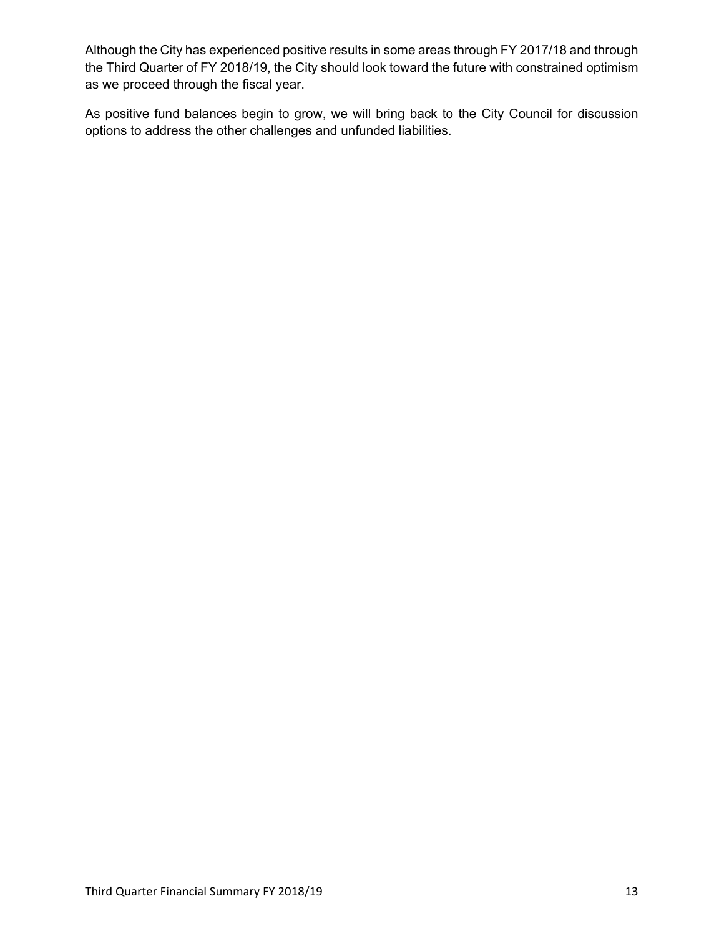Although the City has experienced positive results in some areas through FY 2017/18 and through the Third Quarter of FY 2018/19, the City should look toward the future with constrained optimism as we proceed through the fiscal year.

As positive fund balances begin to grow, we will bring back to the City Council for discussion options to address the other challenges and unfunded liabilities.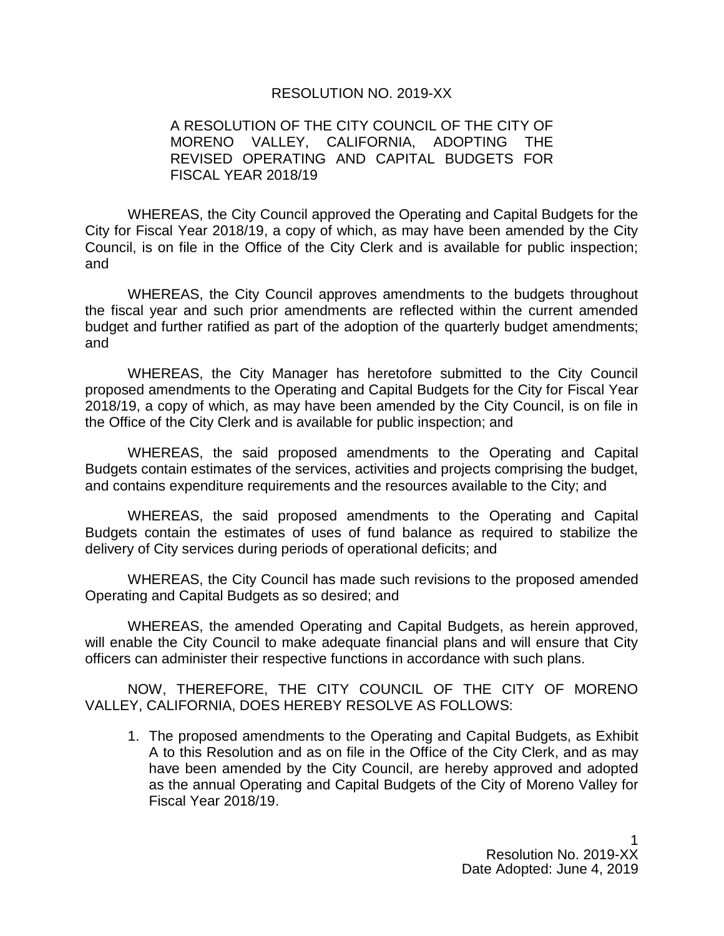#### RESOLUTION NO. 2019-XX

#### A RESOLUTION OF THE CITY COUNCIL OF THE CITY OF MORENO VALLEY, CALIFORNIA, ADOPTING THE REVISED OPERATING AND CAPITAL BUDGETS FOR FISCAL YEAR 2018/19

WHEREAS, the City Council approved the Operating and Capital Budgets for the City for Fiscal Year 2018/19, a copy of which, as may have been amended by the City Council, is on file in the Office of the City Clerk and is available for public inspection; and

WHEREAS, the City Council approves amendments to the budgets throughout the fiscal year and such prior amendments are reflected within the current amended budget and further ratified as part of the adoption of the quarterly budget amendments; and

WHEREAS, the City Manager has heretofore submitted to the City Council proposed amendments to the Operating and Capital Budgets for the City for Fiscal Year 2018/19, a copy of which, as may have been amended by the City Council, is on file in the Office of the City Clerk and is available for public inspection; and

WHEREAS, the said proposed amendments to the Operating and Capital Budgets contain estimates of the services, activities and projects comprising the budget, and contains expenditure requirements and the resources available to the City; and

WHEREAS, the said proposed amendments to the Operating and Capital Budgets contain the estimates of uses of fund balance as required to stabilize the delivery of City services during periods of operational deficits; and

WHEREAS, the City Council has made such revisions to the proposed amended Operating and Capital Budgets as so desired; and

WHEREAS, the amended Operating and Capital Budgets, as herein approved, will enable the City Council to make adequate financial plans and will ensure that City officers can administer their respective functions in accordance with such plans.

NOW, THEREFORE, THE CITY COUNCIL OF THE CITY OF MORENO VALLEY, CALIFORNIA, DOES HEREBY RESOLVE AS FOLLOWS:

1. The proposed amendments to the Operating and Capital Budgets, as Exhibit A to this Resolution and as on file in the Office of the City Clerk, and as may have been amended by the City Council, are hereby approved and adopted as the annual Operating and Capital Budgets of the City of Moreno Valley for Fiscal Year 2018/19.

> 1 Resolution No. 2019-XX Date Adopted: June 4, 2019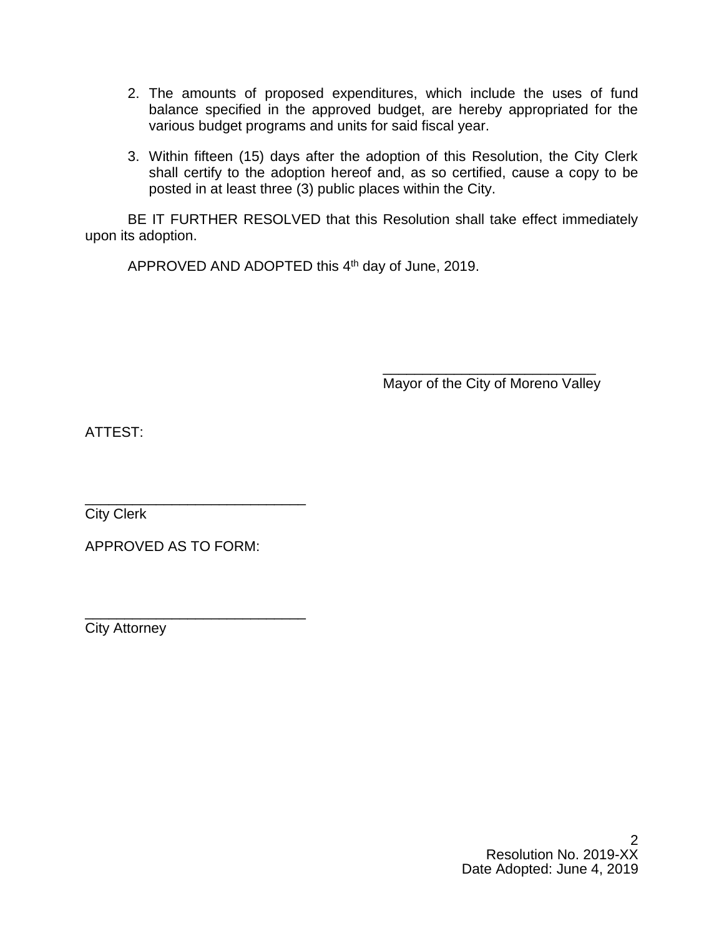- 2. The amounts of proposed expenditures, which include the uses of fund balance specified in the approved budget, are hereby appropriated for the various budget programs and units for said fiscal year.
- 3. Within fifteen (15) days after the adoption of this Resolution, the City Clerk shall certify to the adoption hereof and, as so certified, cause a copy to be posted in at least three (3) public places within the City.

BE IT FURTHER RESOLVED that this Resolution shall take effect immediately upon its adoption.

APPROVED AND ADOPTED this 4<sup>th</sup> day of June, 2019.

\_\_\_\_\_\_\_\_\_\_\_\_\_\_\_\_\_\_\_\_\_\_\_\_\_\_\_ Mayor of the City of Moreno Valley

ATTEST:

\_\_\_\_\_\_\_\_\_\_\_\_\_\_\_\_\_\_\_\_\_\_\_\_\_\_\_\_ City Clerk

APPROVED AS TO FORM:

\_\_\_\_\_\_\_\_\_\_\_\_\_\_\_\_\_\_\_\_\_\_\_\_\_\_\_\_ City Attorney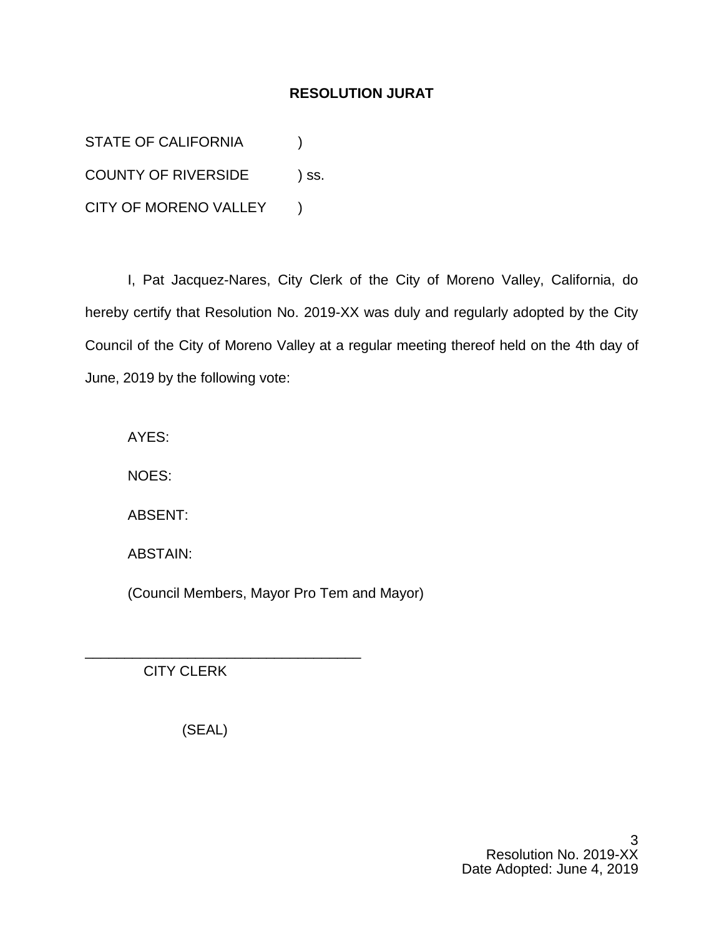## **RESOLUTION JURAT**

STATE OF CALIFORNIA (1) COUNTY OF RIVERSIDE ) ss. CITY OF MORENO VALLEY )

I, Pat Jacquez-Nares, City Clerk of the City of Moreno Valley, California, do hereby certify that Resolution No. 2019-XX was duly and regularly adopted by the City Council of the City of Moreno Valley at a regular meeting thereof held on the 4th day of June, 2019 by the following vote:

AYES:

NOES:

ABSENT:

ABSTAIN:

(Council Members, Mayor Pro Tem and Mayor)

CITY CLERK

(SEAL)

\_\_\_\_\_\_\_\_\_\_\_\_\_\_\_\_\_\_\_\_\_\_\_\_\_\_\_\_\_\_\_\_\_\_\_

3 Resolution No. 2019-XX Date Adopted: June 4, 2019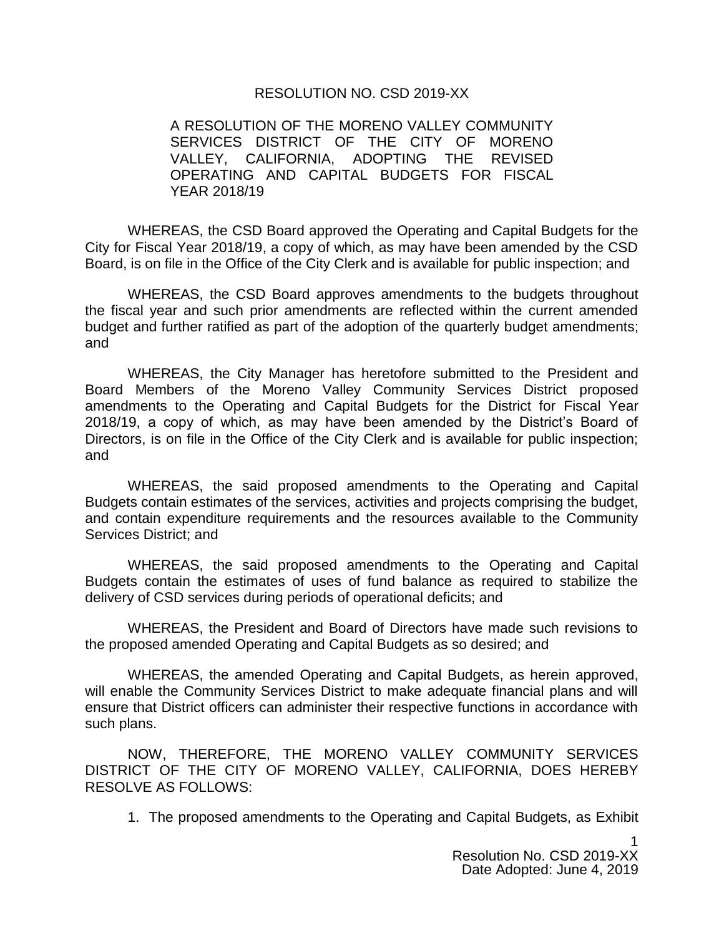#### RESOLUTION NO. CSD 2019-XX

A RESOLUTION OF THE MORENO VALLEY COMMUNITY SERVICES DISTRICT OF THE CITY OF MORENO VALLEY, CALIFORNIA, ADOPTING THE REVISED OPERATING AND CAPITAL BUDGETS FOR FISCAL YEAR 2018/19

WHEREAS, the CSD Board approved the Operating and Capital Budgets for the City for Fiscal Year 2018/19, a copy of which, as may have been amended by the CSD Board, is on file in the Office of the City Clerk and is available for public inspection; and

WHEREAS, the CSD Board approves amendments to the budgets throughout the fiscal year and such prior amendments are reflected within the current amended budget and further ratified as part of the adoption of the quarterly budget amendments; and

WHEREAS, the City Manager has heretofore submitted to the President and Board Members of the Moreno Valley Community Services District proposed amendments to the Operating and Capital Budgets for the District for Fiscal Year 2018/19, a copy of which, as may have been amended by the District's Board of Directors, is on file in the Office of the City Clerk and is available for public inspection; and

WHEREAS, the said proposed amendments to the Operating and Capital Budgets contain estimates of the services, activities and projects comprising the budget, and contain expenditure requirements and the resources available to the Community Services District; and

WHEREAS, the said proposed amendments to the Operating and Capital Budgets contain the estimates of uses of fund balance as required to stabilize the delivery of CSD services during periods of operational deficits; and

WHEREAS, the President and Board of Directors have made such revisions to the proposed amended Operating and Capital Budgets as so desired; and

WHEREAS, the amended Operating and Capital Budgets, as herein approved, will enable the Community Services District to make adequate financial plans and will ensure that District officers can administer their respective functions in accordance with such plans.

NOW, THEREFORE, THE MORENO VALLEY COMMUNITY SERVICES DISTRICT OF THE CITY OF MORENO VALLEY, CALIFORNIA, DOES HEREBY RESOLVE AS FOLLOWS:

1. The proposed amendments to the Operating and Capital Budgets, as Exhibit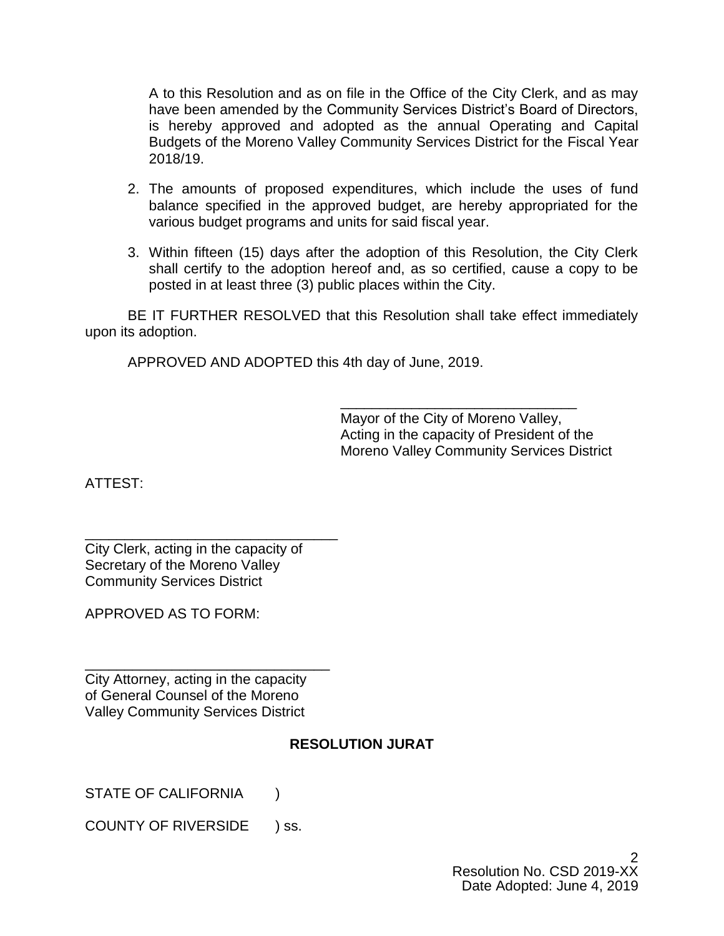A to this Resolution and as on file in the Office of the City Clerk, and as may have been amended by the Community Services District's Board of Directors, is hereby approved and adopted as the annual Operating and Capital Budgets of the Moreno Valley Community Services District for the Fiscal Year 2018/19.

- 2. The amounts of proposed expenditures, which include the uses of fund balance specified in the approved budget, are hereby appropriated for the various budget programs and units for said fiscal year.
- 3. Within fifteen (15) days after the adoption of this Resolution, the City Clerk shall certify to the adoption hereof and, as so certified, cause a copy to be posted in at least three (3) public places within the City.

BE IT FURTHER RESOLVED that this Resolution shall take effect immediately upon its adoption.

APPROVED AND ADOPTED this 4th day of June, 2019.

\_\_\_\_\_\_\_\_\_\_\_\_\_\_\_\_\_\_\_\_\_\_\_\_\_\_\_\_\_\_ Mayor of the City of Moreno Valley, Acting in the capacity of President of the Moreno Valley Community Services District

ATTEST:

\_\_\_\_\_\_\_\_\_\_\_\_\_\_\_\_\_\_\_\_\_\_\_\_\_\_\_\_\_\_\_\_ City Clerk, acting in the capacity of Secretary of the Moreno Valley Community Services District

APPROVED AS TO FORM:

City Attorney, acting in the capacity of General Counsel of the Moreno Valley Community Services District

\_\_\_\_\_\_\_\_\_\_\_\_\_\_\_\_\_\_\_\_\_\_\_\_\_\_\_\_\_\_\_

# **RESOLUTION JURAT**

STATE OF CALIFORNIA (1)

COUNTY OF RIVERSIDE ) ss.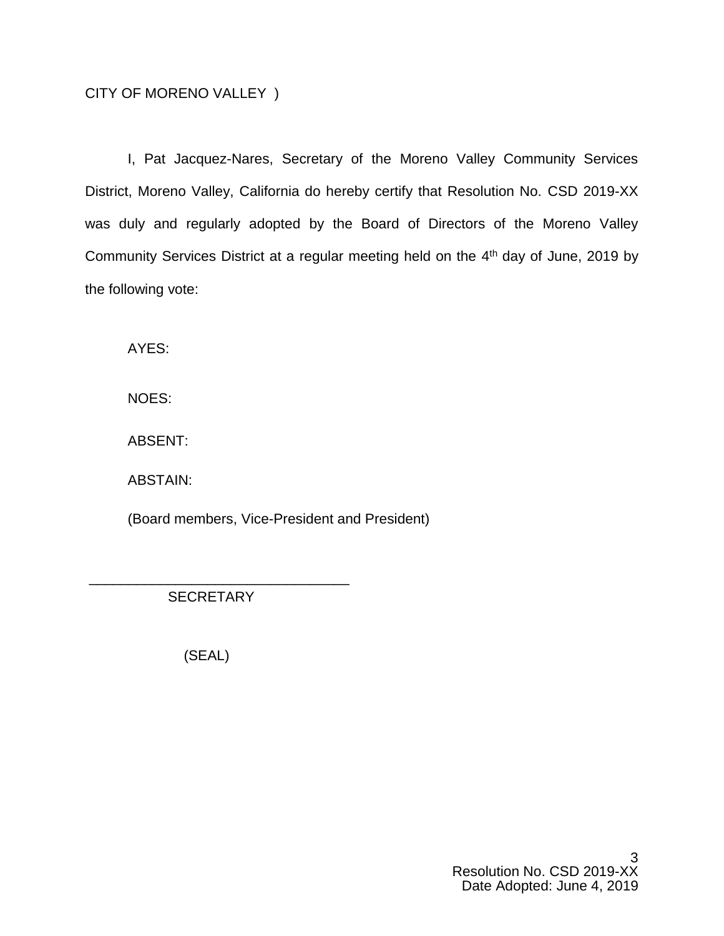## CITY OF MORENO VALLEY )

I, Pat Jacquez-Nares, Secretary of the Moreno Valley Community Services District, Moreno Valley, California do hereby certify that Resolution No. CSD 2019-XX was duly and regularly adopted by the Board of Directors of the Moreno Valley Community Services District at a regular meeting held on the  $4<sup>th</sup>$  day of June, 2019 by the following vote:

AYES:

NOES:

ABSENT:

ABSTAIN:

(Board members, Vice-President and President)

\_\_\_\_\_\_\_\_\_\_\_\_\_\_\_\_\_\_\_\_\_\_\_\_\_\_\_\_\_\_\_\_\_ **SECRETARY** 

(SEAL)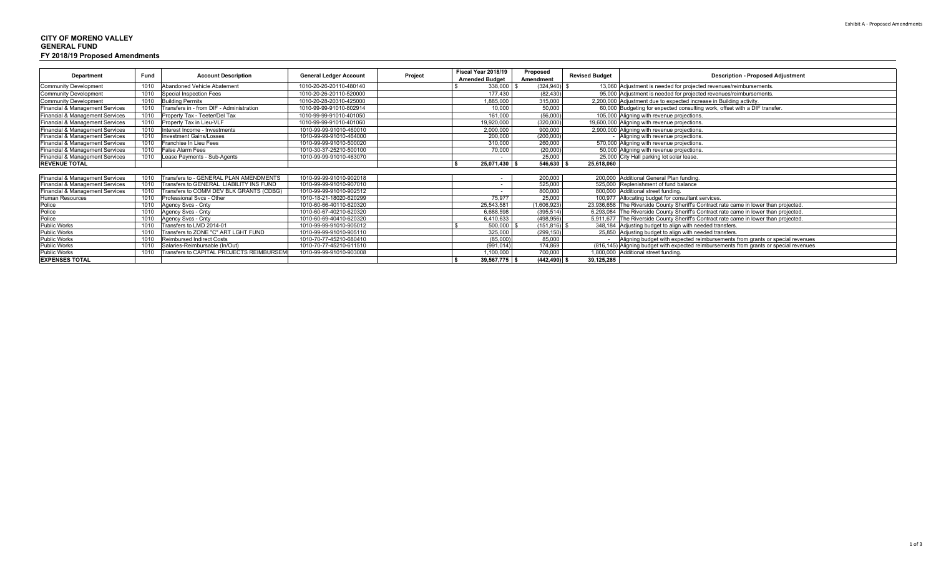#### **CITY OF MORENO VALLEY GENERAL FUNDFY 2018/19 Proposed Amendments**

|                                 |                            |                                           | <b>General Ledger Account</b> |                       | Fiscal Year 2018/19      | Proposed              |                                          |                                                                                        |
|---------------------------------|----------------------------|-------------------------------------------|-------------------------------|-----------------------|--------------------------|-----------------------|------------------------------------------|----------------------------------------------------------------------------------------|
| <b>Fund</b><br>Department       | <b>Account Description</b> | Project                                   |                               | <b>Amended Budget</b> | Amendment                | <b>Revised Budget</b> | <b>Description - Proposed Adjustment</b> |                                                                                        |
| <b>Community Development</b>    | 1010                       | Abandoned Vehicle Abatement               | 1010-20-26-20110-480140       |                       | 338,000                  | (324, 940)            |                                          | 13,060 Adjustment is needed for projected revenues/reimbursements.                     |
| Community Development           | 1010                       | <b>Special Inspection Fees</b>            | 1010-20-26-20110-520000       |                       | 177.430                  | (82, 430)             |                                          | 95,000 Adjustment is needed for projected revenues/reimbursements.                     |
| Community Development           |                            | 1010 Building Permits                     | 1010-20-28-20310-425000       |                       | 1,885,000                | 315,000               |                                          | 2,200,000 Adjustment due to expected increase in Building activity.                    |
| Financial & Management Services | 1010                       | Transfers in - from DIF - Administration  | 1010-99-99-91010-802914       |                       | 10,000                   | 50,000                |                                          | 60,000 Budgeting for expected consulting work, offset with a DIF transfer.             |
| Financial & Management Services | 1010                       | Property Tax - Teeter/Del Tax             | 1010-99-99-91010-401050       |                       | 161,000                  | (56,000)              |                                          | 105,000 Aligning with revenue projections.                                             |
| Financial & Management Services |                            | 1010 Property Tax in Lieu-VLF             | 1010-99-99-91010-401060       |                       | 19,920,000               | (320,000)             |                                          | 19,600,000 Aligning with revenue projections.                                          |
| Financial & Management Services | 1010                       | Interest Income - Investments             | 1010-99-99-91010-460010       |                       | 2,000,000                | 900,000               |                                          | 2,900,000 Aligning with revenue projections.                                           |
| Financial & Management Services | 1010                       | <b>Investment Gains/Losses</b>            | 1010-99-99-91010-464000       |                       | 200,000                  | (200.000)             |                                          | Aligning with revenue projections.                                                     |
| Financial & Management Services |                            | 1010 Franchise In Lieu Fees               | 1010-99-99-91010-500020       |                       | 310,000                  | 260,000               |                                          | 570,000 Aligning with revenue projections.                                             |
| Financial & Management Services |                            | 1010 False Alarm Fees                     | 1010-30-37-25210-500100       |                       | 70,000                   | (20,000)              |                                          | 50,000 Aligning with revenue projections.                                              |
| Financial & Management Services |                            | 1010 Lease Payments - Sub-Agents          | 1010-99-99-91010-463070       |                       | $\overline{\phantom{a}}$ | 25,000                |                                          | 25,000 City Hall parking lot solar lease.                                              |
| <b>REVENUE TOTAL</b>            |                            |                                           |                               |                       | 25,071,430 \$            | $546,630$ \$          | 25,618,060                               |                                                                                        |
|                                 |                            |                                           |                               |                       |                          |                       |                                          |                                                                                        |
| Financial & Management Services | 1010                       | Transfers to - GENERAL PLAN AMENDMENTS    | 1010-99-99-91010-902018       |                       | $\overline{\phantom{a}}$ | 200,000               |                                          | 200,000 Additional General Plan funding.                                               |
| Financial & Management Services |                            | Transfers to GENERAL LIABILITY INS FUND   | 1010-99-99-91010-907010       |                       | $\sim$                   | 525,000               |                                          | 525,000 Replenishment of fund balance                                                  |
| Financial & Management Services | 1010                       | Transfers to COMM DEV BLK GRANTS (CDBG)   | 1010-99-99-91010-902512       |                       | $\sim$                   | 800,000               |                                          | 800,000 Additional street funding.                                                     |
| Human Resources                 | 1010                       | Professional Sycs - Other                 | 1010-18-21-18020-620299       |                       | 75.977                   | 25,000                |                                          | 100,977 Allocating budget for consultant services.                                     |
| Police                          | 1010                       | Agency Svcs - Cnty                        | 1010-60-66-40110-620320       |                       | 25,543,581               | (1,606,923)           |                                          | 23,936,658 The Riverside County Sheriff's Contract rate came in lower than projected.  |
| Police                          | 1010                       | Agency Svcs - Cnty                        | 1010-60-67-40210-620320       |                       | 6,688,598                | (395, 514)            |                                          | 6,293,084 The Riverside County Sheriff's Contract rate came in lower than projected.   |
| Police                          |                            | Agency Svcs - Cnty                        | 1010-60-69-40410-620320       |                       | 6,410,633                | (498, 956)            |                                          | 5,911,677 The Riverside County Sheriff's Contract rate came in lower than projected.   |
| <b>Public Works</b>             | 1010                       | Transfers to LMD 2014-01                  | 1010-99-99-91010-905012       |                       | 500,000                  | $(151, 816)$ \$       |                                          | 348,184 Adjusting budget to align with needed transfers.                               |
| <b>Public Works</b>             |                            | Transfers to ZONE "C" ART LGHT FUND       | 1010-99-99-91010-905110       |                       | 325,000                  | (299, 150)            |                                          | 25,850 Adjusting budget to align with needed transfers.                                |
| <b>Public Works</b>             | 1010                       | <b>Reimbursed Indirect Costs</b>          | 1010-70-77-45210-680410       |                       | (85,000)                 | 85,000                |                                          | Aligning budget with expected reimbursements from grants or special revenues           |
| <b>Public Works</b>             |                            | Salaries-Reimbursable (In/Out)            | 1010-70-77-45210-611510       |                       | (991, 014)               | 174,869               |                                          | (816,145) Aligning budget with expected reimbursements from grants or special revenues |
| <b>Public Works</b>             |                            | Transfers to CAPITAL PROJECTS REIMBURSEMI | 1010-99-99-91010-903008       |                       | 1,100,000                | 700,000               |                                          | 1,800,000 Additional street funding.                                                   |
| <b>EXPENSES TOTAL</b>           |                            |                                           |                               |                       | $39,567,775$ \$          | $(442, 490)$ \$       | 39,125,285                               |                                                                                        |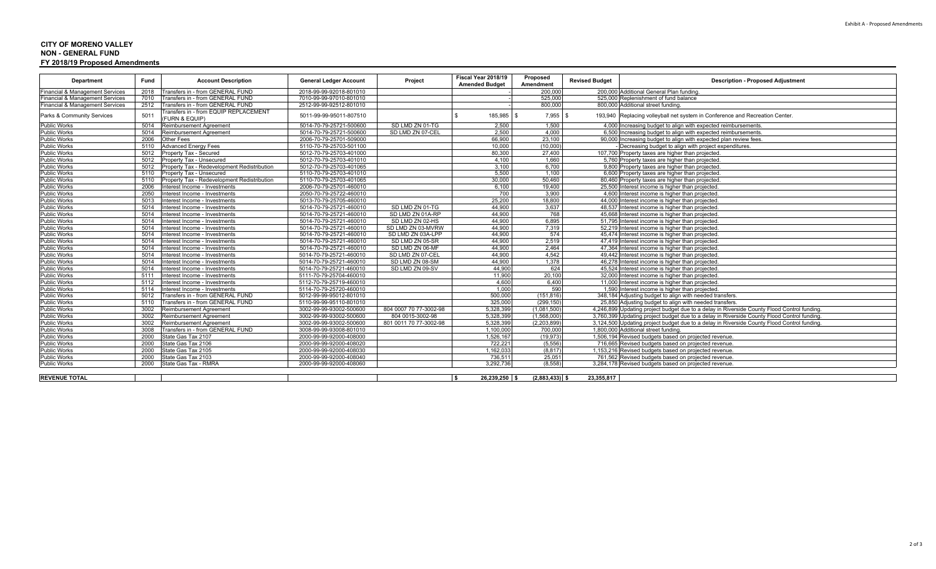#### Exhibit A ‐ Proposed Amendments

#### **CITY OF MORENO VALLEY NON - GENERAL FUNDFY 2018/19 Proposed Amendments**

| <b>Department</b>                          | Fund | <b>Account Description</b>                              | <b>General Ledger Account</b> | Project                | Fiscal Year 2018/19<br><b>Amended Budget</b> | Proposed<br>Amendment | <b>Revised Budget</b> | <b>Description - Proposed Adjustment</b>                                                    |
|--------------------------------------------|------|---------------------------------------------------------|-------------------------------|------------------------|----------------------------------------------|-----------------------|-----------------------|---------------------------------------------------------------------------------------------|
| <b>Financial &amp; Management Services</b> | 2018 | Transfers in - from GENERAL FUND                        | 2018-99-99-92018-801010       |                        |                                              | 200,000               |                       | 200.000 Additional General Plan funding                                                     |
| Financial & Management Services            | 7010 | Transfers in - from GENERAL FUND                        | 7010-99-99-97010-801010       |                        |                                              | 525,000               |                       | 525,000 Replenishment of fund balance                                                       |
| Financial & Management Services            | 2512 | Transfers in - from GENERAL FUND                        | 2512-99-99-92512-801010       |                        |                                              | 800.000               |                       | 800,000 Additional street funding                                                           |
| Parks & Community Services                 | 5011 | Transfers in - from EQUIP REPLACEMENT<br>(FURN & EQUIP) | 5011-99-99-95011-807510       |                        | 185,985 \$                                   | 7,955                 |                       | 193,940 Replacing volleyball net system in Conference and Recreation Center.                |
| <b>Public Works</b>                        | 5014 | <b>Reimbursement Agreement</b>                          | 5014-70-79-25721-500600       | SD LMD ZN 01-TG        | 2,500                                        | 1,500                 |                       | 4,000 Increasing budget to align with expected reimbursements                               |
| <b>Public Works</b>                        | 5014 | <b>Reimbursement Agreement</b>                          | 5014-70-79-25721-500600       | SD LMD ZN 07-CEL       | 2,500                                        | 4,000                 |                       | 6,500 Increasing budget to align with expected reimbursements                               |
| <b>Public Works</b>                        | 2006 | Other Fees                                              | 2006-70-79-25701-509000       |                        | 66.900                                       | 23.100                |                       | 90,000 Increasing budget to align with expected plan review fees.                           |
| <b>Public Works</b>                        | 5110 | <b>Advanced Energy Fees</b>                             | 5110-70-79-25703-501100       |                        | 10,000                                       | (10,000)              |                       | Decreasing budget to align with project expenditures                                        |
| <b>Public Works</b>                        | 5012 | Property Tax - Secured                                  | 5012-70-79-25703-401000       |                        | 80,300                                       | 27,400                |                       | 107,700 Property taxes are higher than projected.                                           |
| <b>Public Works</b>                        | 5012 | Property Tax - Unsecured                                | 5012-70-79-25703-401010       |                        | 4.100                                        | 1,660                 |                       | 5,760 Property taxes are higher than projected.                                             |
| <b>Public Works</b>                        | 5012 | Property Tax - Redevelopment Redistribution             | 5012-70-79-25703-401065       |                        | 3.100                                        | 6.700                 |                       | 9,800 Property taxes are higher than projected                                              |
| <b>Public Works</b>                        | 5110 | Property Tax - Unsecured                                | 5110-70-79-25703-401010       |                        | 5,500                                        | 1,100                 |                       | 6,600 Property taxes are higher than projected                                              |
| <b>Public Works</b>                        | 5110 | Property Tax - Redevelopment Redistribution             | 5110-70-79-25703-401065       |                        | 30,000                                       | 50,460                |                       | 80,460 Property taxes are higher than projected.                                            |
| <b>Public Works</b>                        | 2006 | Interest Income - Investments                           | 2006-70-79-25701-460010       |                        | 6,100                                        | 19,400                |                       | 25,500 Interest income is higher than projected.                                            |
| <b>Public Works</b>                        | 2050 | Interest Income - Investments                           | 2050-70-79-25722-460010       |                        | 700                                          | 3,900                 |                       | 4,600 Interest income is higher than projected.                                             |
| <b>Public Works</b>                        | 5013 | Interest Income - Investments                           | 5013-70-79-25705-460010       |                        | 25,200                                       | 18,800                |                       | 44,000 Interest income is higher than projected.                                            |
| <b>Public Works</b>                        | 5014 | Interest Income - Investments                           | 5014-70-79-25721-460010       | SD LMD ZN 01-TG        | 44,900                                       | 3,637                 |                       | 48.537 Interest income is higher than projected.                                            |
| <b>Public Works</b>                        | 5014 | Interest Income - Investments                           | 5014-70-79-25721-460010       | SD LMD ZN 01A-RP       | 44,900                                       | 768                   |                       | 45,668 Interest income is higher than projected.                                            |
| <b>Public Works</b>                        | 5014 | Interest Income - Investments                           | 5014-70-79-25721-460010       | SD LMD ZN 02-HS        | 44,900                                       | 6,895                 |                       | 51,795 Interest income is higher than projected.                                            |
| <b>Public Works</b>                        | 5014 | nterest Income - Investments                            | 5014-70-79-25721-460010       | SD LMD ZN 03-MVRW      | 44,900                                       | 7,319                 |                       | 52,219 Interest income is higher than projected.                                            |
| <b>Public Works</b>                        | 5014 | Interest Income - Investments                           | 5014-70-79-25721-460010       | SD LMD ZN 03A-LPP      | 44,900                                       | 574                   |                       | 45.474 Interest income is higher than projected.                                            |
| <b>Public Works</b>                        | 5014 | Interest Income - Investments                           | 5014-70-79-25721-460010       | SD LMD ZN 05-SR        | 44,900                                       | 2,519                 |                       | 47.419 Interest income is higher than projected.                                            |
| <b>Public Works</b>                        | 5014 | Interest Income - Investments                           | 5014-70-79-25721-460010       | SD LMD ZN 06-MF        | 44,900                                       | 2,464                 |                       | 47,364 Interest income is higher than projected.                                            |
| <b>Public Works</b>                        | 5014 | Interest Income - Investments                           | 5014-70-79-25721-460010       | SD LMD ZN 07-CEL       | 44,900                                       | 4,542                 |                       | 49,442 Interest income is higher than projected.                                            |
| <b>Public Works</b>                        | 5014 | Interest Income - Investments                           | 5014-70-79-25721-460010       | SD LMD ZN 08-SM        | 44,900                                       | 1,378                 |                       | 46,278 Interest income is higher than projected.                                            |
| <b>Public Works</b>                        | 5014 | Interest Income - Investments                           | 5014-70-79-25721-460010       | SD LMD ZN 09-SV        | 44,900                                       | 624                   |                       | 45.524 Interest income is higher than projected.                                            |
| <b>Public Works</b>                        | 5111 | Interest Income - Investments                           | 5111-70-79-25704-460010       |                        | 11,900                                       | 20,100                |                       | 32,000 Interest income is higher than projected.                                            |
| <b>Public Works</b>                        | 5112 | Interest Income - Investments                           | 5112-70-79-25719-460010       |                        | 4.600                                        | 6,400                 |                       | 11,000 Interest income is higher than projected.                                            |
| <b>Public Works</b>                        | 5114 | Interest Income - Investments                           | 5114-70-79-25720-460010       |                        | 1.000                                        | 590                   |                       | 1.590 Interest income is higher than projected.                                             |
| <b>Public Works</b>                        | 5012 | Transfers in - from GENERAL FUND                        | 5012-99-99-95012-801010       |                        | 500.000                                      | (151.816)             |                       | 348,184 Adjusting budget to align with needed transfers                                     |
| <b>Public Works</b>                        | 5110 | Transfers in - from GENERAL FUND                        | 5110-99-99-95110-801010       |                        | 325,000                                      | (299, 150)            |                       | 25,850 Adjusting budget to align with needed transfers                                      |
| <b>Public Works</b>                        | 3002 | Reimbursement Agreement                                 | 3002-99-99-93002-500600       | 804 0007 70 77-3002-98 | 5.328.399                                    | (1,081,500)           |                       | 4,246,899 Updating project budget due to a delay in Riverside County Flood Control funding. |
| <b>Public Works</b>                        | 3002 | <b>Reimbursement Agreement</b>                          | 3002-99-99-93002-500600       | 804 0015-3002-98       | 5.328.399                                    | (1,568,000)           |                       | 3,760,399 Updating project budget due to a delay in Riverside County Flood Control funding. |
| <b>Public Works</b>                        | 3002 | Reimbursement Agreement                                 | 3002-99-99-93002-500600       | 801 0011 70 77-3002-98 | 5.328.399                                    | (2.203.899            |                       | 3,124,500 Updating project budget due to a delay in Riverside County Flood Control funding. |
| <b>Public Works</b>                        | 3008 | Transfers in - from GENERAL FUND                        | 3008-99-99-93008-801010       |                        | 1.100.000                                    | 700,000               |                       | 1.800.000 Additional street funding.                                                        |
| <b>Public Works</b>                        | 2000 | State Gas Tax 2107                                      | 2000-99-99-92000-408000       |                        | 1.526.167                                    | (19.973)              |                       | 1,506,194 Revised budgets based on projected revenue.                                       |
| <b>Public Works</b>                        | 2000 | State Gas Tax 2106                                      | 2000-99-99-92000-408020       |                        | 722.221                                      | (5, 556)              |                       | 716,665 Revised budgets based on projected revenue.                                         |
| <b>Public Works</b>                        | 2000 | State Gas Tax 2105                                      | 2000-99-99-92000-408030       |                        | 1.162.033                                    | (8.817)               |                       | 1.153.216 Revised budgets based on projected revenue.                                       |
| <b>Public Works</b>                        | 2000 | State Gas Tax 2103                                      | 2000-99-99-92000-408040       |                        | 736,511                                      | 25,051                |                       | 761,562 Revised budgets based on projected revenue.                                         |
| <b>Public Works</b>                        | 2000 | State Gas Tax - RMRA                                    | 2000-99-99-92000-408060       |                        | 3.292.736                                    | (8.558)               |                       | 3,284,178 Revised budgets based on projected revenue.                                       |
|                                            |      |                                                         |                               |                        |                                              |                       |                       |                                                                                             |
| <b>REVENUE TOTAL</b>                       |      |                                                         |                               |                        | 26,239,250 \$<br>l s                         | $(2,883,433)$ \$      | 23,355,817            |                                                                                             |